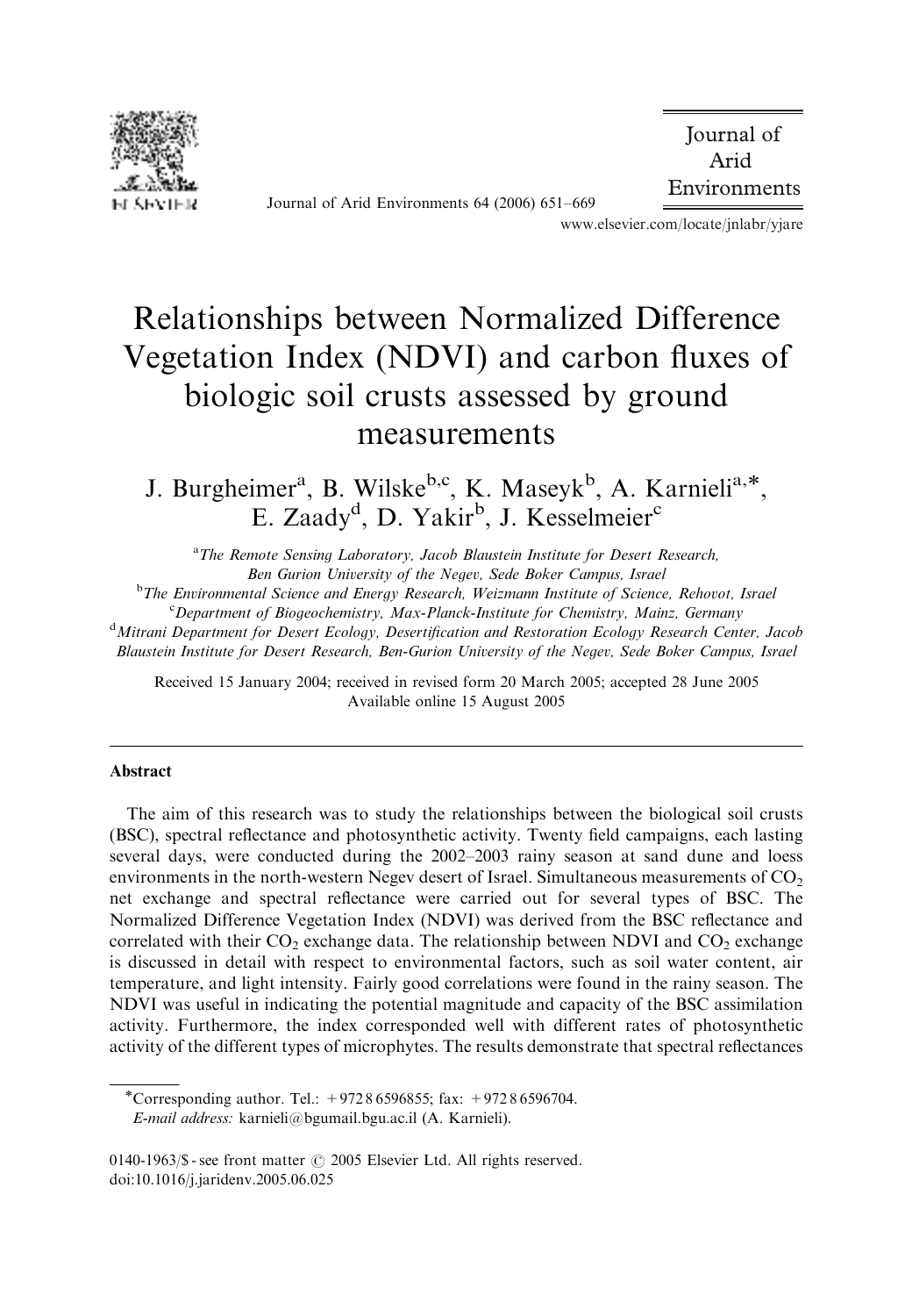

Journal of Arid Environments 64 (2006) 651–669

 Journal of Arid Environments

www.elsevier.com/locate/jnlabr/yjare

# Relationships between Normalized Difference Vegetation Index (NDVI) and carbon fluxes of biologic soil crusts assessed by ground measurements

J. Burgheimer<sup>a</sup>, B. Wilske<sup>b,c</sup>, K. Maseyk<sup>b</sup>, A. Karnieli<sup>a,\*</sup>, E. Zaady<sup>d</sup>, D. Yakir<sup>b</sup>, J. Kesselmeier<sup>c</sup>

<sup>a</sup>*The Remote Sensing Laboratory, Jacob Blaustein Institute for Desert Research, Ben Gurion University of the Negev, Sede Boker Campus, Israel*

<sup>b</sup>*The Environmental Science and Energy Research, Weizmann Institute of Science, Rehovot, Israel*

<sup>c</sup>*Department of Biogeochemistry, Max-Planck-Institute for Chemistry, Mainz, Germany*

<sup>d</sup>*Mitrani Department for Desert Ecology, Desertification and Restoration Ecology Research Center, Jacob Blaustein Institute for Desert Research, Ben-Gurion University of the Negev, Sede Boker Campus, Israel*

Received 15 January 2004; received in revised form 20 March 2005; accepted 28 June 2005 Available online 15 August 2005

#### Abstract

The aim of this research was to study the relationships between the biological soil crusts (BSC), spectral reflectance and photosynthetic activity. Twenty field campaigns, each lasting several days, were conducted during the 2002–2003 rainy season at sand dune and loess environments in the north-western Negev desert of Israel. Simultaneous measurements of  $CO<sub>2</sub>$ net exchange and spectral reflectance were carried out for several types of BSC. The Normalized Difference Vegetation Index (NDVI) was derived from the BSC reflectance and correlated with their  $CO<sub>2</sub>$  exchange data. The relationship between NDVI and  $CO<sub>2</sub>$  exchange is discussed in detail with respect to environmental factors, such as soil water content, air temperature, and light intensity. Fairly good correlations were found in the rainy season. The NDVI was useful in indicating the potential magnitude and capacity of the BSC assimilation activity. Furthermore, the index corresponded well with different rates of photosynthetic activity of the different types of microphytes. The results demonstrate that spectral reflectances

Corresponding author. Tel.: +972 8 6596855; fax: +972 8 6596704. *E-mail address:* karnieli@bgumail.bgu.ac.il (A. Karnieli).

<sup>0140-1963/\$ -</sup> see front matter  $\odot$  2005 Elsevier Ltd. All rights reserved. doi:10.1016/j.jaridenv.2005.06.025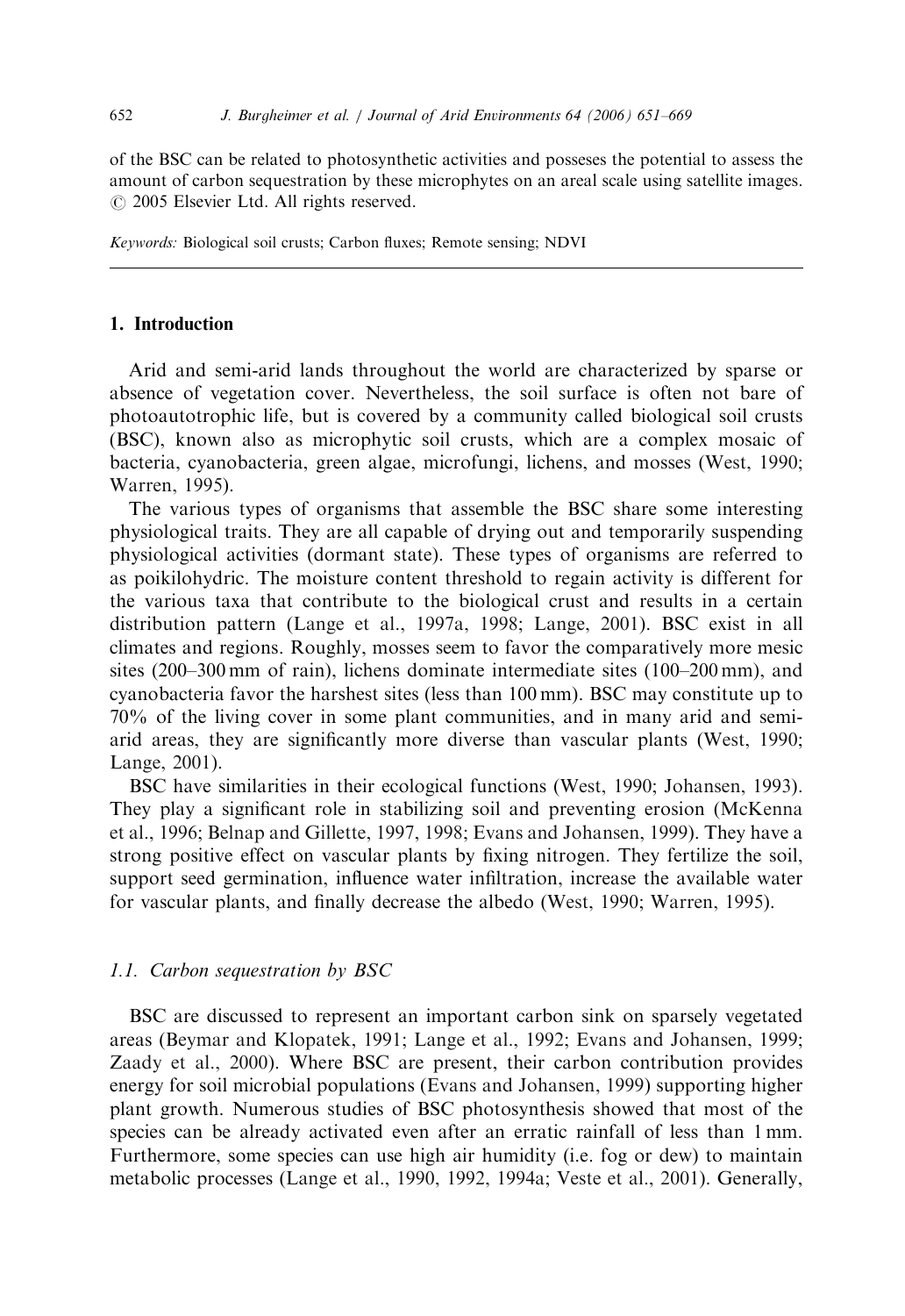of the BSC can be related to photosynthetic activities and posseses the potential to assess the amount of carbon sequestration by these microphytes on an areal scale using satellite images.  $\odot$  2005 Elsevier Ltd. All rights reserved.

*Keywords:* Biological soil crusts; Carbon fluxes; Remote sensing; NDVI

# 1. Introduction

Arid and semi-arid lands throughout the world are characterized by sparse or absence of vegetation cover. Nevertheless, the soil surface is often not bare of photoautotrophic life, but is covered by a community called biological soil crusts (BSC), known also as microphytic soil crusts, which are a complex mosaic of bacteria, cyanobacteria, green algae, microfungi, lichens, and mosses (West, 1990; Warren, 1995).

The various types of organisms that assemble the BSC share some interesting physiological traits. They are all capable of drying out and temporarily suspending physiological activities (dormant state). These types of organisms are referred to as poikilohydric. The moisture content threshold to regain activity is different for the various taxa that contribute to the biological crust and results in a certain distribution pattern (Lange et al., 1997a, 1998; Lange, 2001). BSC exist in all climates and regions. Roughly, mosses seem to favor the comparatively more mesic sites (200–300 mm of rain), lichens dominate intermediate sites (100–200 mm), and cyanobacteria favor the harshest sites (less than 100 mm). BSC may constitute up to 70% of the living cover in some plant communities, and in many arid and semiarid areas, they are significantly more diverse than vascular plants (West, 1990; Lange, 2001).

BSC have similarities in their ecological functions (West, 1990; Johansen, 1993). They play a significant role in stabilizing soil and preventing erosion (McKenna et al., 1996; Belnap and Gillette, 1997, 1998; Evans and Johansen, 1999). They have a strong positive effect on vascular plants by fixing nitrogen. They fertilize the soil, support seed germination, influence water infiltration, increase the available water for vascular plants, and finally decrease the albedo (West, 1990; Warren, 1995).

### *1.1. Carbon sequestration by BSC*

BSC are discussed to represent an important carbon sink on sparsely vegetated areas (Beymar and Klopatek, 1991; Lange et al., 1992; Evans and Johansen, 1999; Zaady et al., 2000). Where BSC are present, their carbon contribution provides energy for soil microbial populations (Evans and Johansen, 1999) supporting higher plant growth. Numerous studies of BSC photosynthesis showed that most of the species can be already activated even after an erratic rainfall of less than 1 mm. Furthermore, some species can use high air humidity (i.e. fog or dew) to maintain metabolic processes (Lange et al., 1990, 1992, 1994a; Veste et al., 2001). Generally,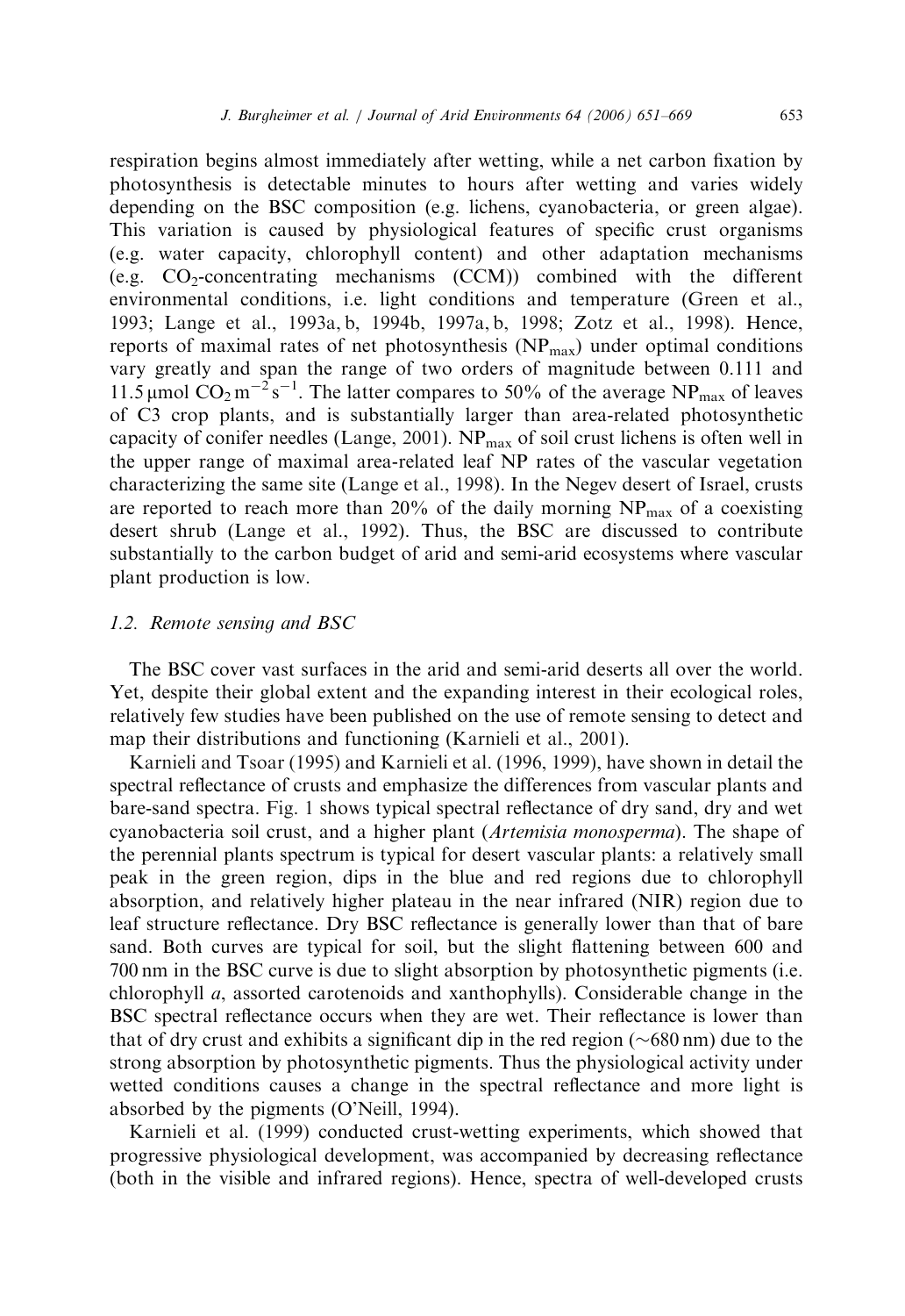respiration begins almost immediately after wetting, while a net carbon fixation by photosynthesis is detectable minutes to hours after wetting and varies widely depending on the BSC composition (e.g. lichens, cyanobacteria, or green algae). This variation is caused by physiological features of specific crust organisms (e.g. water capacity, chlorophyll content) and other adaptation mechanisms (e.g.  $CO_2$ -concentrating mechanisms  $(CCM)$ ) combined with the different environmental conditions, i.e. light conditions and temperature (Green et al., 1993; Lange et al., 1993a, b, 1994b, 1997a, b, 1998; Zotz et al., 1998). Hence, reports of maximal rates of net photosynthesis  $(NP_{max})$  under optimal conditions vary greatly and span the range of two orders of magnitude between 0.111 and 11.5 µmol  $CO_2$  m<sup>-2</sup>s<sup>-1</sup>. The latter compares to 50% of the average NP<sub>max</sub> of leaves of C3 crop plants, and is substantially larger than area-related photosynthetic capacity of conifer needles (Lange, 2001).  $NP_{max}$  of soil crust lichens is often well in the upper range of maximal area-related leaf NP rates of the vascular vegetation characterizing the same site (Lange et al., 1998). In the Negev desert of Israel, crusts are reported to reach more than 20% of the daily morning  $NP_{max}$  of a coexisting desert shrub (Lange et al., 1992). Thus, the BSC are discussed to contribute substantially to the carbon budget of arid and semi-arid ecosystems where vascular plant production is low.

### *1.2. Remote sensing and BSC*

The BSC cover vast surfaces in the arid and semi-arid deserts all over the world. Yet, despite their global extent and the expanding interest in their ecological roles, relatively few studies have been published on the use of remote sensing to detect and map their distributions and functioning (Karnieli et al., 2001).

Karnieli and Tsoar (1995) and Karnieli et al. (1996, 1999), have shown in detail the spectral reflectance of crusts and emphasize the differences from vascular plants and bare-sand spectra. Fig. 1 shows typical spectral reflectance of dry sand, dry and wet cyanobacteria soil crust, and a higher plant (*Artemisia monosperma*). The shape of the perennial plants spectrum is typical for desert vascular plants: a relatively small peak in the green region, dips in the blue and red regions due to chlorophyll absorption, and relatively higher plateau in the near infrared (NIR) region due to leaf structure reflectance. Dry BSC reflectance is generally lower than that of bare sand. Both curves are typical for soil, but the slight flattening between 600 and 700 nm in the BSC curve is due to slight absorption by photosynthetic pigments (i.e. chlorophyll *a*, assorted carotenoids and xanthophylls). Considerable change in the BSC spectral reflectance occurs when they are wet. Their reflectance is lower than that of dry crust and exhibits a significant dip in the red region  $(\sim 680 \text{ nm})$  due to the strong absorption by photosynthetic pigments. Thus the physiological activity under wetted conditions causes a change in the spectral reflectance and more light is absorbed by the pigments (O'Neill, 1994).

Karnieli et al. (1999) conducted crust-wetting experiments, which showed that progressive physiological development, was accompanied by decreasing reflectance (both in the visible and infrared regions). Hence, spectra of well-developed crusts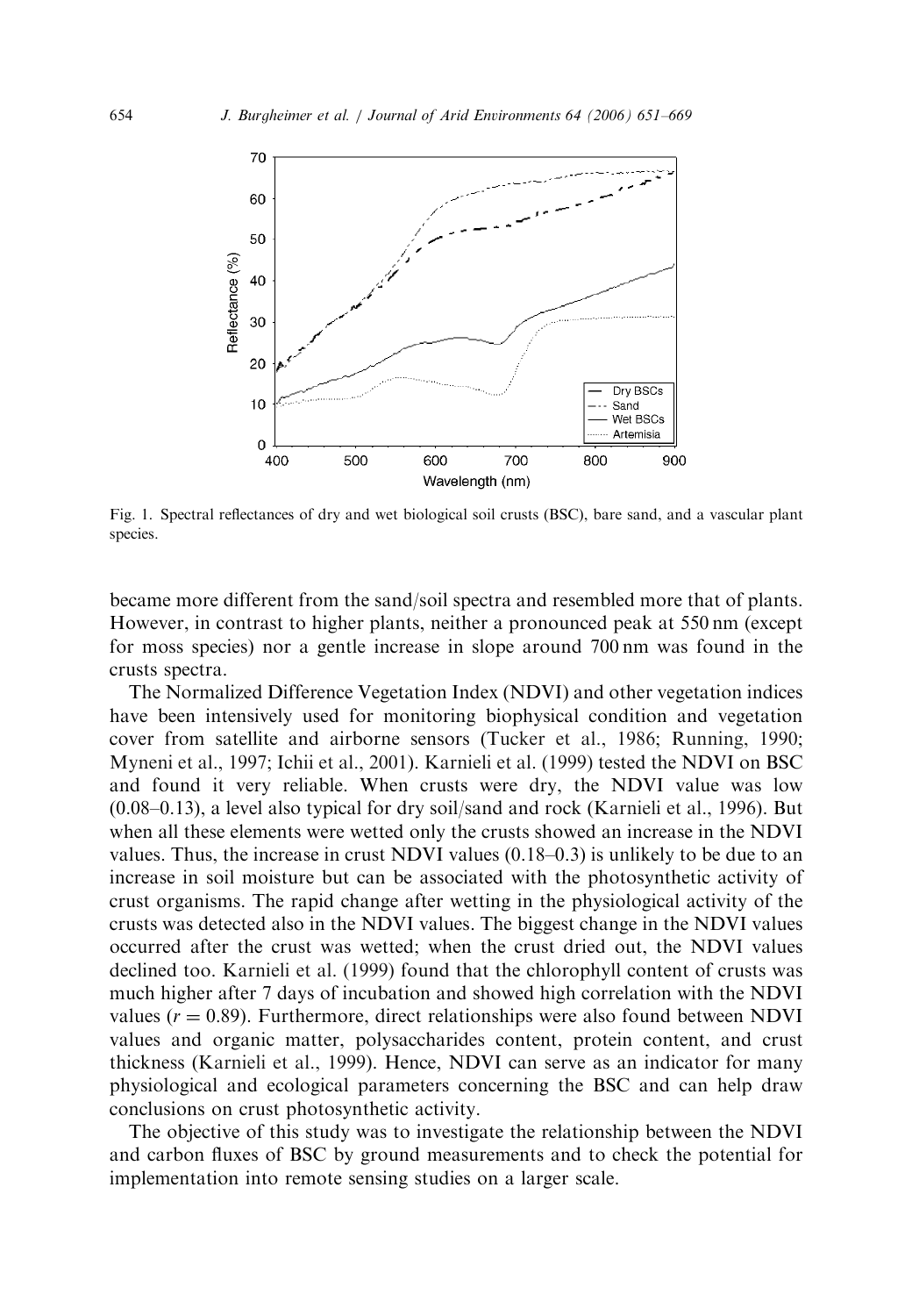

Fig. 1. Spectral reflectances of dry and wet biological soil crusts (BSC), bare sand, and a vascular plant species.

became more different from the sand/soil spectra and resembled more that of plants. However, in contrast to higher plants, neither a pronounced peak at 550 nm (except for moss species) nor a gentle increase in slope around 700 nm was found in the crusts spectra.

The Normalized Difference Vegetation Index (NDVI) and other vegetation indices have been intensively used for monitoring biophysical condition and vegetation cover from satellite and airborne sensors (Tucker et al., 1986; Running, 1990; Myneni et al., 1997; Ichii et al., 2001). Karnieli et al. (1999) tested the NDVI on BSC and found it very reliable. When crusts were dry, the NDVI value was low (0.08–0.13), a level also typical for dry soil/sand and rock (Karnieli et al., 1996). But when all these elements were wetted only the crusts showed an increase in the NDVI values. Thus, the increase in crust NDVI values (0.18–0.3) is unlikely to be due to an increase in soil moisture but can be associated with the photosynthetic activity of crust organisms. The rapid change after wetting in the physiological activity of the crusts was detected also in the NDVI values. The biggest change in the NDVI values occurred after the crust was wetted; when the crust dried out, the NDVI values declined too. Karnieli et al. (1999) found that the chlorophyll content of crusts was much higher after 7 days of incubation and showed high correlation with the NDVI values  $(r = 0.89)$ . Furthermore, direct relationships were also found between NDVI values and organic matter, polysaccharides content, protein content, and crust thickness (Karnieli et al., 1999). Hence, NDVI can serve as an indicator for many physiological and ecological parameters concerning the BSC and can help draw conclusions on crust photosynthetic activity.

The objective of this study was to investigate the relationship between the NDVI and carbon fluxes of BSC by ground measurements and to check the potential for implementation into remote sensing studies on a larger scale.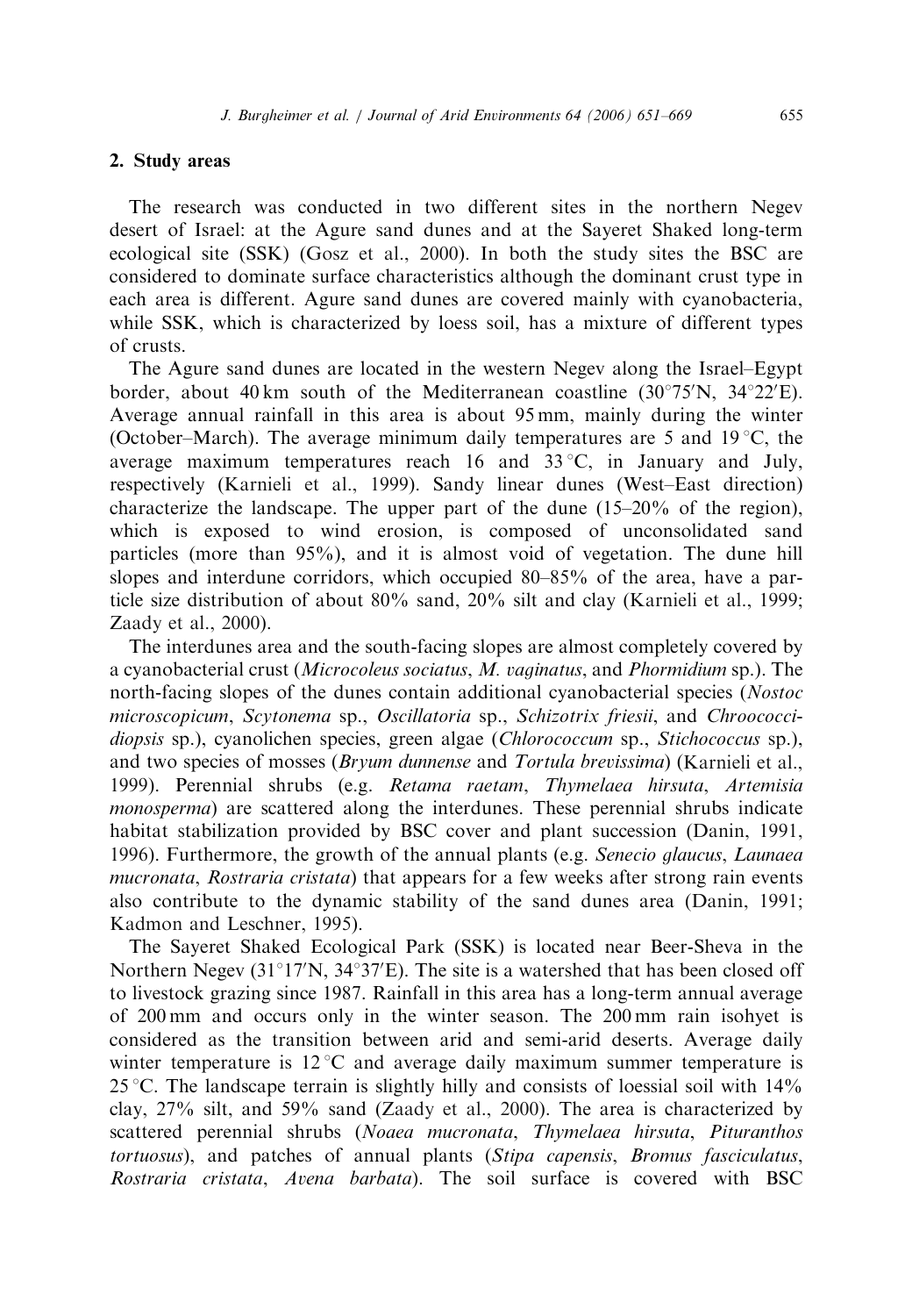## 2. Study areas

The research was conducted in two different sites in the northern Negev desert of Israel: at the Agure sand dunes and at the Sayeret Shaked long-term ecological site (SSK) (Gosz et al., 2000). In both the study sites the BSC are considered to dominate surface characteristics although the dominant crust type in each area is different. Agure sand dunes are covered mainly with cyanobacteria, while SSK, which is characterized by loess soil, has a mixture of different types of crusts.

The Agure sand dunes are located in the western Negev along the Israel–Egypt border, about 40 km south of the Mediterranean coastline  $(30^{\circ}75^{\prime}N, 34^{\circ}22^{\prime}E)$ . Average annual rainfall in this area is about 95 mm, mainly during the winter (October–March). The average minimum daily temperatures are 5 and 19 °C, the average maximum temperatures reach 16 and  $33^{\circ}$ C, in January and July, respectively (Karnieli et al., 1999). Sandy linear dunes (West–East direction) characterize the landscape. The upper part of the dune (15–20% of the region), which is exposed to wind erosion, is composed of unconsolidated sand particles (more than 95%), and it is almost void of vegetation. The dune hill slopes and interdune corridors, which occupied 80–85% of the area, have a particle size distribution of about 80% sand, 20% silt and clay (Karnieli et al., 1999; Zaady et al., 2000).

The interdunes area and the south-facing slopes are almost completely covered by a cyanobacterial crust (*Microcoleus sociatus*, *M. vaginatus*, and *Phormidium* sp.). The north-facing slopes of the dunes contain additional cyanobacterial species (*Nostoc microscopicum*, *Scytonema* sp., *Oscillatoria* sp., *Schizotrix friesii*, and *Chroococcidiopsis* sp.), cyanolichen species, green algae (*Chlorococcum* sp., *Stichococcus* sp.), and two species of mosses (*Bryum dunnense* and *Tortula brevissima*) (Karnieli et al., 1999). Perennial shrubs (e.g. *Retama raetam*, *Thymelaea hirsuta*, *Artemisia monosperma*) are scattered along the interdunes. These perennial shrubs indicate habitat stabilization provided by BSC cover and plant succession (Danin, 1991, 1996). Furthermore, the growth of the annual plants (e.g. *Senecio glaucus*, *Launaea mucronata*, *Rostraria cristata*) that appears for a few weeks after strong rain events also contribute to the dynamic stability of the sand dunes area (Danin, 1991; Kadmon and Leschner, 1995).

The Sayeret Shaked Ecological Park (SSK) is located near Beer-Sheva in the Northern Negev ( $31^{\circ}17'N$ ,  $34^{\circ}37'E$ ). The site is a watershed that has been closed off to livestock grazing since 1987. Rainfall in this area has a long-term annual average of 200 mm and occurs only in the winter season. The 200 mm rain isohyet is considered as the transition between arid and semi-arid deserts. Average daily winter temperature is  $12^{\circ}$ C and average daily maximum summer temperature is 25 °C. The landscape terrain is slightly hilly and consists of loessial soil with  $14\%$ clay, 27% silt, and 59% sand (Zaady et al., 2000). The area is characterized by scattered perennial shrubs (*Noaea mucronata*, *Thymelaea hirsuta*, *Pituranthos tortuosus*), and patches of annual plants (*Stipa capensis*, *Bromus fasciculatus*, *Rostraria cristata*, *Avena barbata*). The soil surface is covered with BSC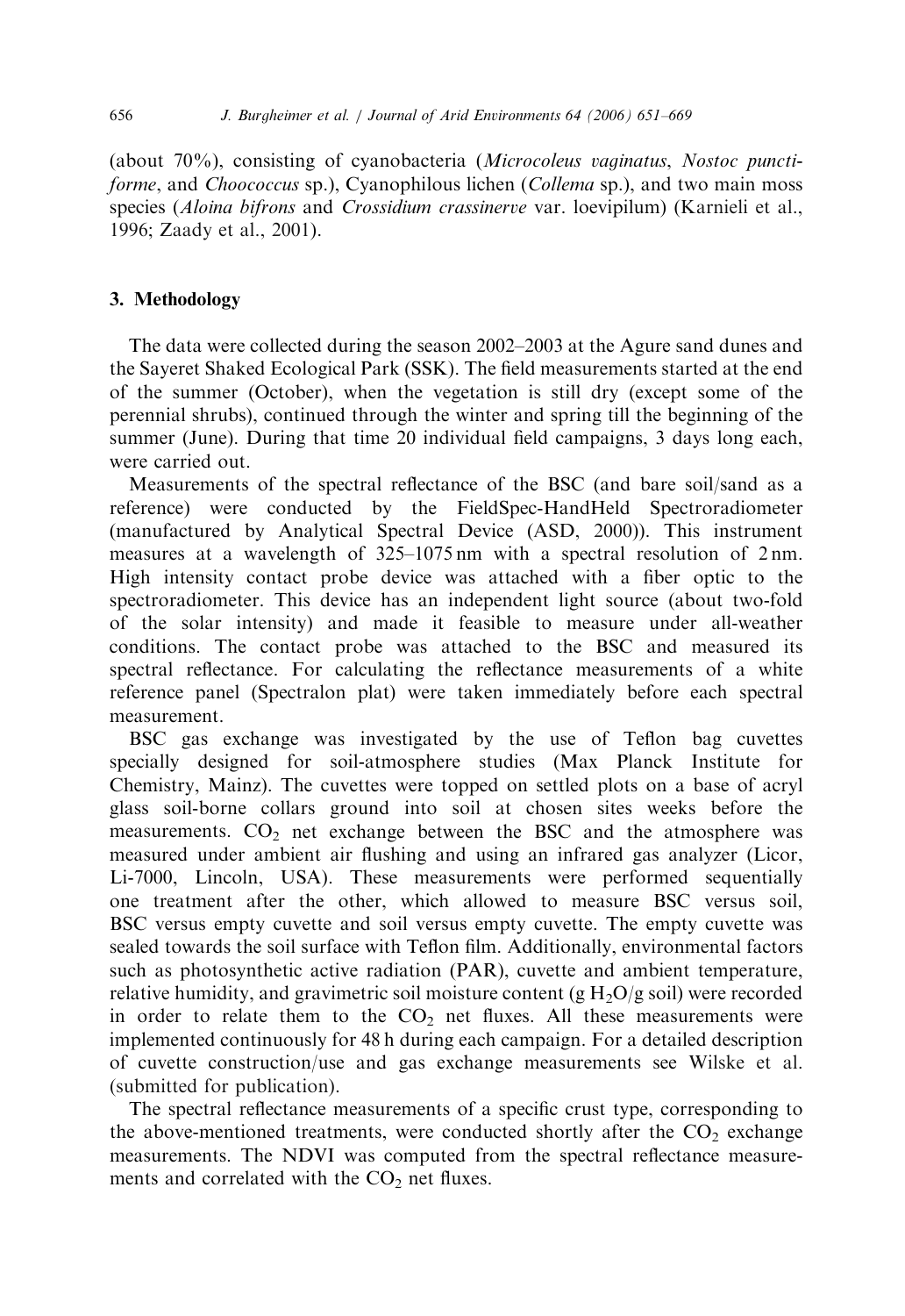(about 70%), consisting of cyanobacteria (*Microcoleus vaginatus*, *Nostoc punctiforme*, and *Choococcus* sp.), Cyanophilous lichen (*Collema* sp.), and two main moss species (*Aloina bifrons* and *Crossidium crassinerve* var. loevipilum) (Karnieli et al., 1996; Zaady et al., 2001).

## 3. Methodology

The data were collected during the season 2002–2003 at the Agure sand dunes and the Sayeret Shaked Ecological Park (SSK). The field measurements started at the end of the summer (October), when the vegetation is still dry (except some of the perennial shrubs), continued through the winter and spring till the beginning of the summer (June). During that time 20 individual field campaigns, 3 days long each, were carried out.

Measurements of the spectral reflectance of the BSC (and bare soil/sand as a reference) were conducted by the FieldSpec-HandHeld Spectroradiometer (manufactured by Analytical Spectral Device (ASD, 2000)). This instrument measures at a wavelength of 325–1075 nm with a spectral resolution of 2 nm. High intensity contact probe device was attached with a fiber optic to the spectroradiometer. This device has an independent light source (about two-fold of the solar intensity) and made it feasible to measure under all-weather conditions. The contact probe was attached to the BSC and measured its spectral reflectance. For calculating the reflectance measurements of a white reference panel (Spectralon plat) were taken immediately before each spectral measurement.

BSC gas exchange was investigated by the use of Teflon bag cuvettes specially designed for soil-atmosphere studies (Max Planck Institute for Chemistry, Mainz). The cuvettes were topped on settled plots on a base of acryl glass soil-borne collars ground into soil at chosen sites weeks before the measurements.  $CO<sub>2</sub>$  net exchange between the BSC and the atmosphere was measured under ambient air flushing and using an infrared gas analyzer (Licor, Li-7000, Lincoln, USA). These measurements were performed sequentially one treatment after the other, which allowed to measure BSC versus soil, BSC versus empty cuvette and soil versus empty cuvette. The empty cuvette was sealed towards the soil surface with Teflon film. Additionally, environmental factors such as photosynthetic active radiation (PAR), cuvette and ambient temperature, relative humidity, and gravimetric soil moisture content (g  $H_2O/g$  soil) were recorded in order to relate them to the  $CO<sub>2</sub>$  net fluxes. All these measurements were implemented continuously for 48 h during each campaign. For a detailed description of cuvette construction/use and gas exchange measurements see Wilske et al. (submitted for publication).

The spectral reflectance measurements of a specific crust type, corresponding to the above-mentioned treatments, were conducted shortly after the  $CO<sub>2</sub>$  exchange measurements. The NDVI was computed from the spectral reflectance measurements and correlated with the  $CO<sub>2</sub>$  net fluxes.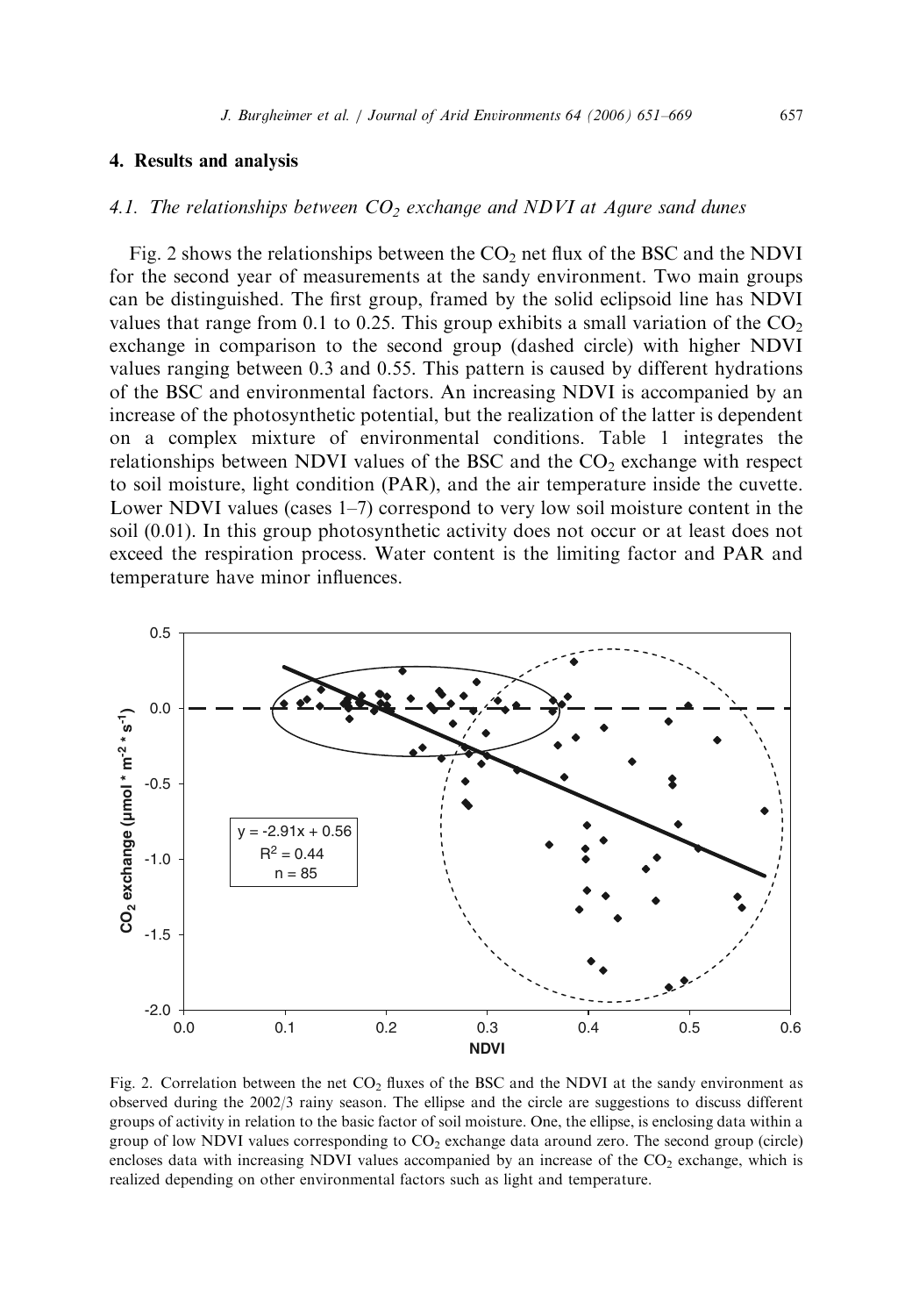## *4.1. The relationships between CO<sup>2</sup> exchange and NDVI at Agure sand dunes*

Fig. 2 shows the relationships between the  $CO<sub>2</sub>$  net flux of the BSC and the NDVI for the second year of measurements at the sandy environment. Two main groups can be distinguished. The first group, framed by the solid eclipsoid line has NDVI values that range from 0.1 to 0.25. This group exhibits a small variation of the  $CO<sub>2</sub>$ exchange in comparison to the second group (dashed circle) with higher NDVI values ranging between 0.3 and 0.55. This pattern is caused by different hydrations of the BSC and environmental factors. An increasing NDVI is accompanied by an increase of the photosynthetic potential, but the realization of the latter is dependent on a complex mixture of environmental conditions. Table 1 integrates the relationships between NDVI values of the BSC and the  $CO<sub>2</sub>$  exchange with respect to soil moisture, light condition (PAR), and the air temperature inside the cuvette. Lower NDVI values (cases 1–7) correspond to very low soil moisture content in the soil (0.01). In this group photosynthetic activity does not occur or at least does not exceed the respiration process. Water content is the limiting factor and PAR and temperature have minor influences.



Fig. 2. Correlation between the net  $CO<sub>2</sub>$  fluxes of the BSC and the NDVI at the sandy environment as observed during the 2002/3 rainy season. The ellipse and the circle are suggestions to discuss different groups of activity in relation to the basic factor of soil moisture. One, the ellipse, is enclosing data within a group of low NDVI values corresponding to CO<sub>2</sub> exchange data around zero. The second group (circle) encloses data with increasing NDVI values accompanied by an increase of the  $CO<sub>2</sub>$  exchange, which is realized depending on other environmental factors such as light and temperature.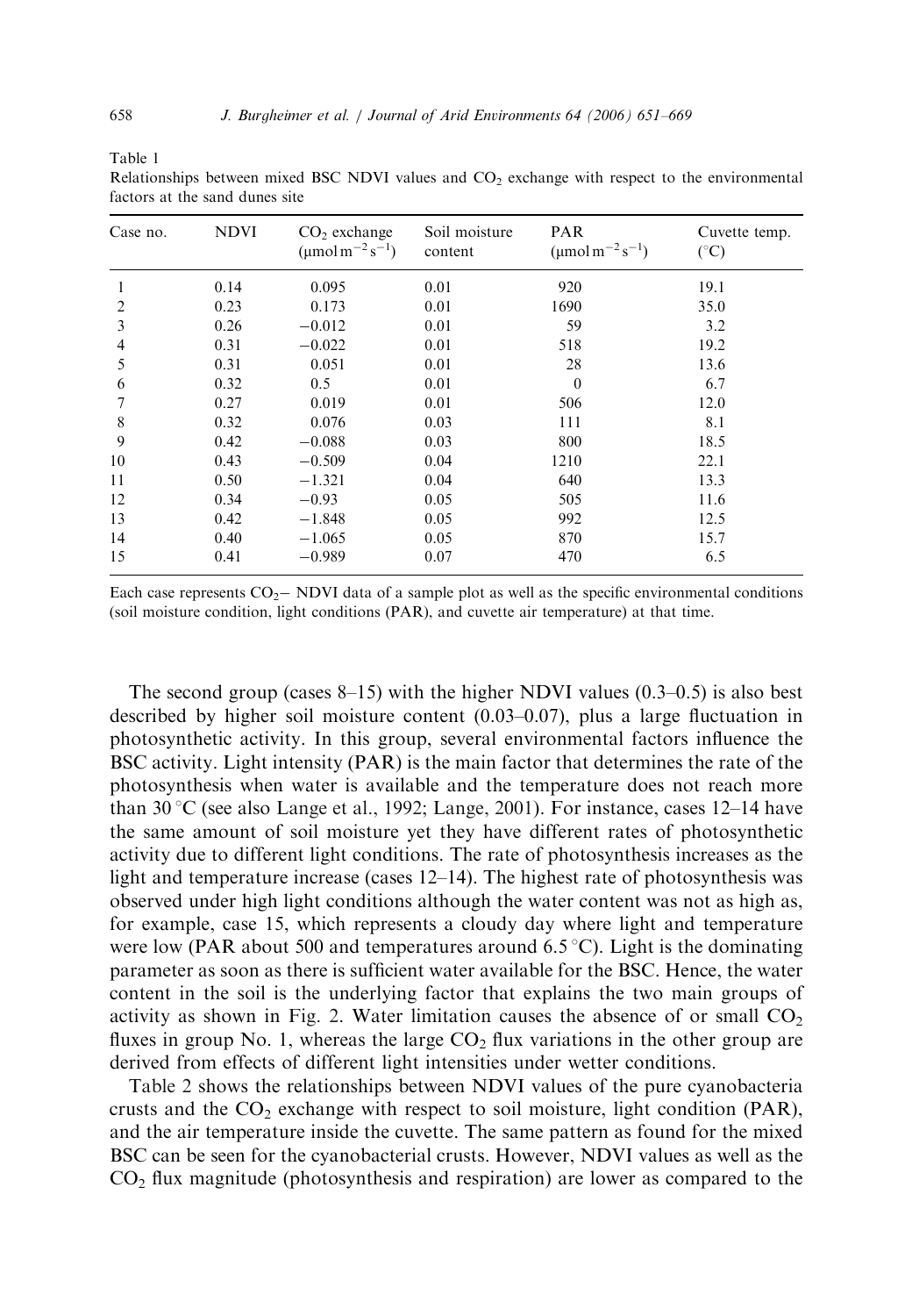Table 1

Relationships between mixed BSC NDVI values and  $CO<sub>2</sub>$  exchange with respect to the environmental factors at the sand dunes site

| Case no.       | <b>NDVI</b> | $CO2$ exchange<br>$(\mu$ mol m <sup>-2</sup> s <sup>-1</sup> ) | Soil moisture<br>content | <b>PAR</b><br>$(\mu \text{mol m}^{-2} \text{s}^{-1})$ | Cuvette temp.<br>$(^{\circ}C)$ |
|----------------|-------------|----------------------------------------------------------------|--------------------------|-------------------------------------------------------|--------------------------------|
| 1              | 0.14        | 0.095                                                          | 0.01                     | 920                                                   | 19.1                           |
| $\overline{c}$ | 0.23        | 0.173                                                          | 0.01                     | 1690                                                  | 35.0                           |
| 3              | 0.26        | $-0.012$                                                       | 0.01                     | 59                                                    | 3.2                            |
| 4              | 0.31        | $-0.022$                                                       | 0.01                     | 518                                                   | 19.2                           |
| 5              | 0.31        | 0.051                                                          | 0.01                     | 28                                                    | 13.6                           |
| 6              | 0.32        | 0.5                                                            | 0.01                     | $\theta$                                              | 6.7                            |
|                | 0.27        | 0.019                                                          | 0.01                     | 506                                                   | 12.0                           |
| 8              | 0.32        | 0.076                                                          | 0.03                     | 111                                                   | 8.1                            |
| 9              | 0.42        | $-0.088$                                                       | 0.03                     | 800                                                   | 18.5                           |
| 10             | 0.43        | $-0.509$                                                       | 0.04                     | 1210                                                  | 22.1                           |
| 11             | 0.50        | $-1.321$                                                       | 0.04                     | 640                                                   | 13.3                           |
| 12             | 0.34        | $-0.93$                                                        | 0.05                     | 505                                                   | 11.6                           |
| 13             | 0.42        | $-1.848$                                                       | 0.05                     | 992                                                   | 12.5                           |
| 14             | 0.40        | $-1.065$                                                       | 0.05                     | 870                                                   | 15.7                           |
| 15             | 0.41        | $-0.989$                                                       | 0.07                     | 470                                                   | 6.5                            |

Each case represents  $CO<sub>2</sub>$  NDVI data of a sample plot as well as the specific environmental conditions (soil moisture condition, light conditions (PAR), and cuvette air temperature) at that time.

The second group (cases  $8-15$ ) with the higher NDVI values  $(0.3-0.5)$  is also best described by higher soil moisture content (0.03–0.07), plus a large fluctuation in photosynthetic activity. In this group, several environmental factors influence the BSC activity. Light intensity (PAR) is the main factor that determines the rate of the photosynthesis when water is available and the temperature does not reach more than 30 °C (see also Lange et al., 1992; Lange, 2001). For instance, cases 12–14 have the same amount of soil moisture yet they have different rates of photosynthetic activity due to different light conditions. The rate of photosynthesis increases as the light and temperature increase (cases 12–14). The highest rate of photosynthesis was observed under high light conditions although the water content was not as high as, for example, case 15, which represents a cloudy day where light and temperature were low (PAR about 500 and temperatures around 6.5 °C). Light is the dominating parameter as soon as there is sufficient water available for the BSC. Hence, the water content in the soil is the underlying factor that explains the two main groups of activity as shown in Fig. 2. Water limitation causes the absence of or small  $CO<sub>2</sub>$ fluxes in group No. 1, whereas the large  $CO<sub>2</sub>$  flux variations in the other group are derived from effects of different light intensities under wetter conditions.

Table 2 shows the relationships between NDVI values of the pure cyanobacteria crusts and the  $CO<sub>2</sub>$  exchange with respect to soil moisture, light condition (PAR), and the air temperature inside the cuvette. The same pattern as found for the mixed BSC can be seen for the cyanobacterial crusts. However, NDVI values as well as the  $CO<sub>2</sub>$  flux magnitude (photosynthesis and respiration) are lower as compared to the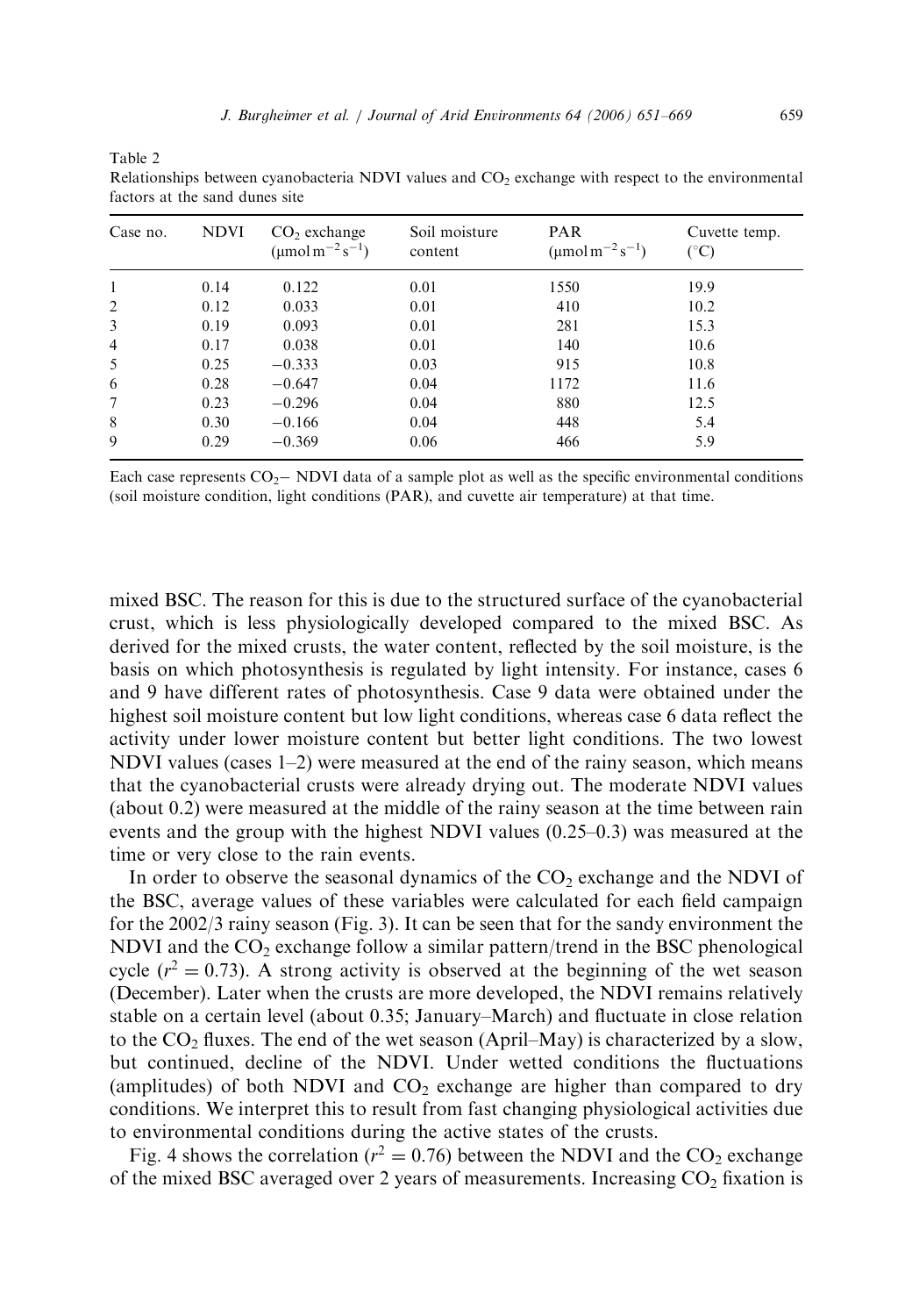| Relationships between cyanobacteria $N$ DVI values and $O_2$ exchange with respect to the environmental<br>factors at the sand dunes site |             |                                                           |                          |                                                       |                     |  |  |
|-------------------------------------------------------------------------------------------------------------------------------------------|-------------|-----------------------------------------------------------|--------------------------|-------------------------------------------------------|---------------------|--|--|
| Case no.                                                                                                                                  | <b>NDVI</b> | $CO2$ exchange<br>(umol m <sup>-2</sup> s <sup>-1</sup> ) | Soil moisture<br>content | <b>PAR</b><br>$(\mu \text{mol m}^{-2} \text{s}^{-1})$ | Cuvette temp.<br>CО |  |  |
|                                                                                                                                           | 0.14        | 0.122                                                     | 0.01                     | 1550                                                  | 19.9                |  |  |
|                                                                                                                                           | 0.12        | 0.033                                                     | 0.01                     | 410                                                   | 10.2                |  |  |

Relationships between cyanobacteria NDVI factors at the sand d

3 0.19 0.093 0.01 281 15.3 4 0.17 0.038 0.01 140 10.6 5 0.25 0.333 0.03 915 10.8 6 0.28 0.647 0.04 1172 11.6 7 0.23 0.296 0.04 880 12.5 8 0.30 -0.166 0.04 448 5.4 9 0.29  $-0.369$  0.06 466 5.9

Table 2

Each case represents  $CO<sub>2</sub>$  NDVI data of a sample plot as well as the specific environmental conditions (soil moisture condition, light conditions (PAR), and cuvette air temperature) at that time.

mixed BSC. The reason for this is due to the structured surface of the cyanobacterial crust, which is less physiologically developed compared to the mixed BSC. As derived for the mixed crusts, the water content, reflected by the soil moisture, is the basis on which photosynthesis is regulated by light intensity. For instance, cases 6 and 9 have different rates of photosynthesis. Case 9 data were obtained under the highest soil moisture content but low light conditions, whereas case 6 data reflect the activity under lower moisture content but better light conditions. The two lowest NDVI values (cases 1–2) were measured at the end of the rainy season, which means that the cyanobacterial crusts were already drying out. The moderate NDVI values (about 0.2) were measured at the middle of the rainy season at the time between rain events and the group with the highest NDVI values (0.25–0.3) was measured at the time or very close to the rain events.

In order to observe the seasonal dynamics of the  $CO<sub>2</sub>$  exchange and the NDVI of the BSC, average values of these variables were calculated for each field campaign for the 2002/3 rainy season (Fig. 3). It can be seen that for the sandy environment the NDVI and the  $CO<sub>2</sub>$  exchange follow a similar pattern/trend in the BSC phenological cycle  $(r^2 = 0.73)$ . A strong activity is observed at the beginning of the wet season (December). Later when the crusts are more developed, the NDVI remains relatively stable on a certain level (about 0.35; January–March) and fluctuate in close relation to the  $CO<sub>2</sub>$  fluxes. The end of the wet season (April–May) is characterized by a slow, but continued, decline of the NDVI. Under wetted conditions the fluctuations (amplitudes) of both NDVI and  $CO<sub>2</sub>$  exchange are higher than compared to dry conditions. We interpret this to result from fast changing physiological activities due to environmental conditions during the active states of the crusts.

Fig. 4 shows the correlation ( $r^2 = 0.76$ ) between the NDVI and the CO<sub>2</sub> exchange of the mixed BSC averaged over 2 years of measurements. Increasing  $CO<sub>2</sub>$  fixation is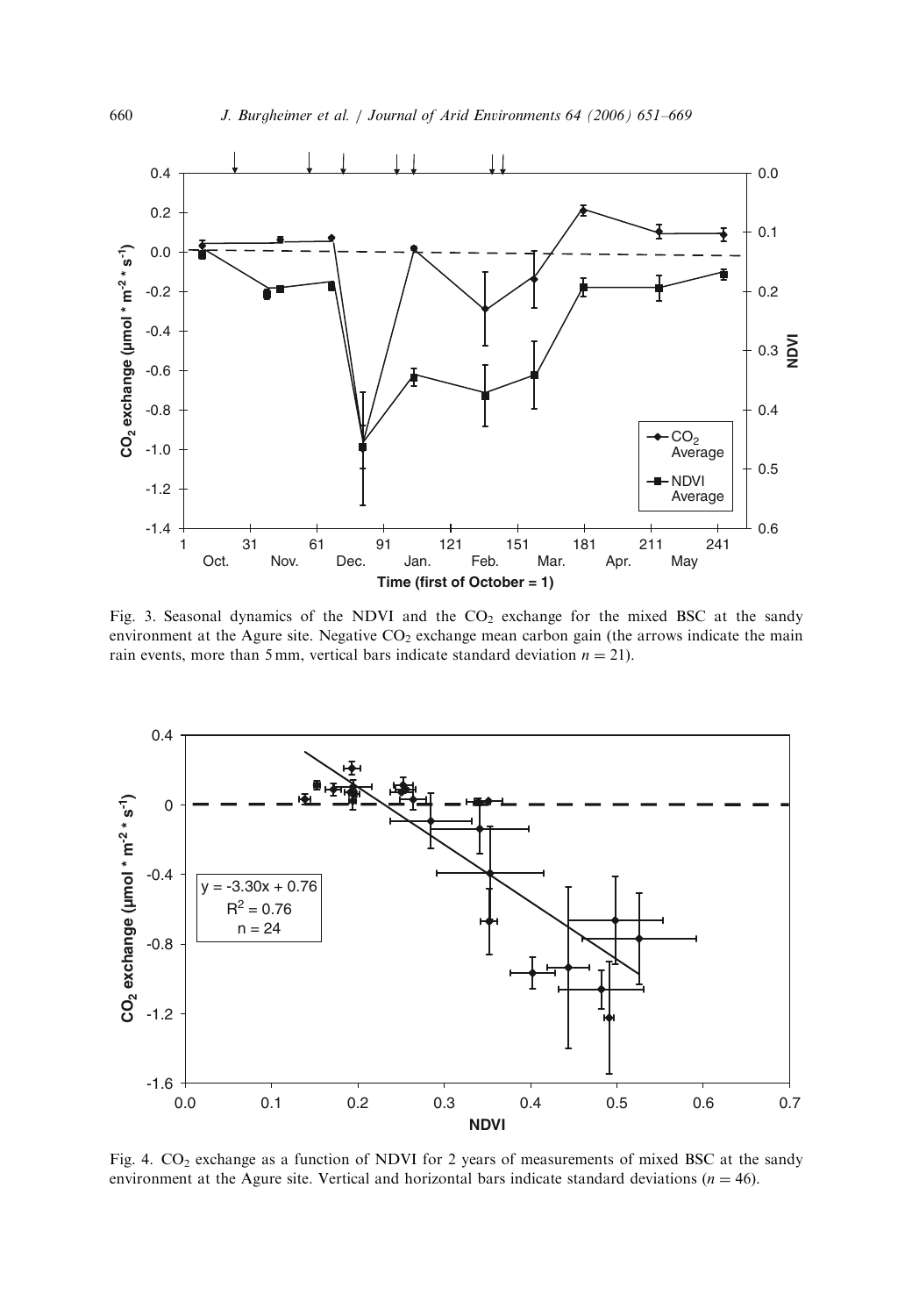

Fig. 3. Seasonal dynamics of the NDVI and the  $CO<sub>2</sub>$  exchange for the mixed BSC at the sandy environment at the Agure site. Negative  $CO<sub>2</sub>$  exchange mean carbon gain (the arrows indicate the main rain events, more than 5 mm, vertical bars indicate standard deviation  $n = 21$ ).



Fig. 4.  $CO<sub>2</sub>$  exchange as a function of NDVI for 2 years of measurements of mixed BSC at the sandy environment at the Agure site. Vertical and horizontal bars indicate standard deviations  $(n = 46)$ .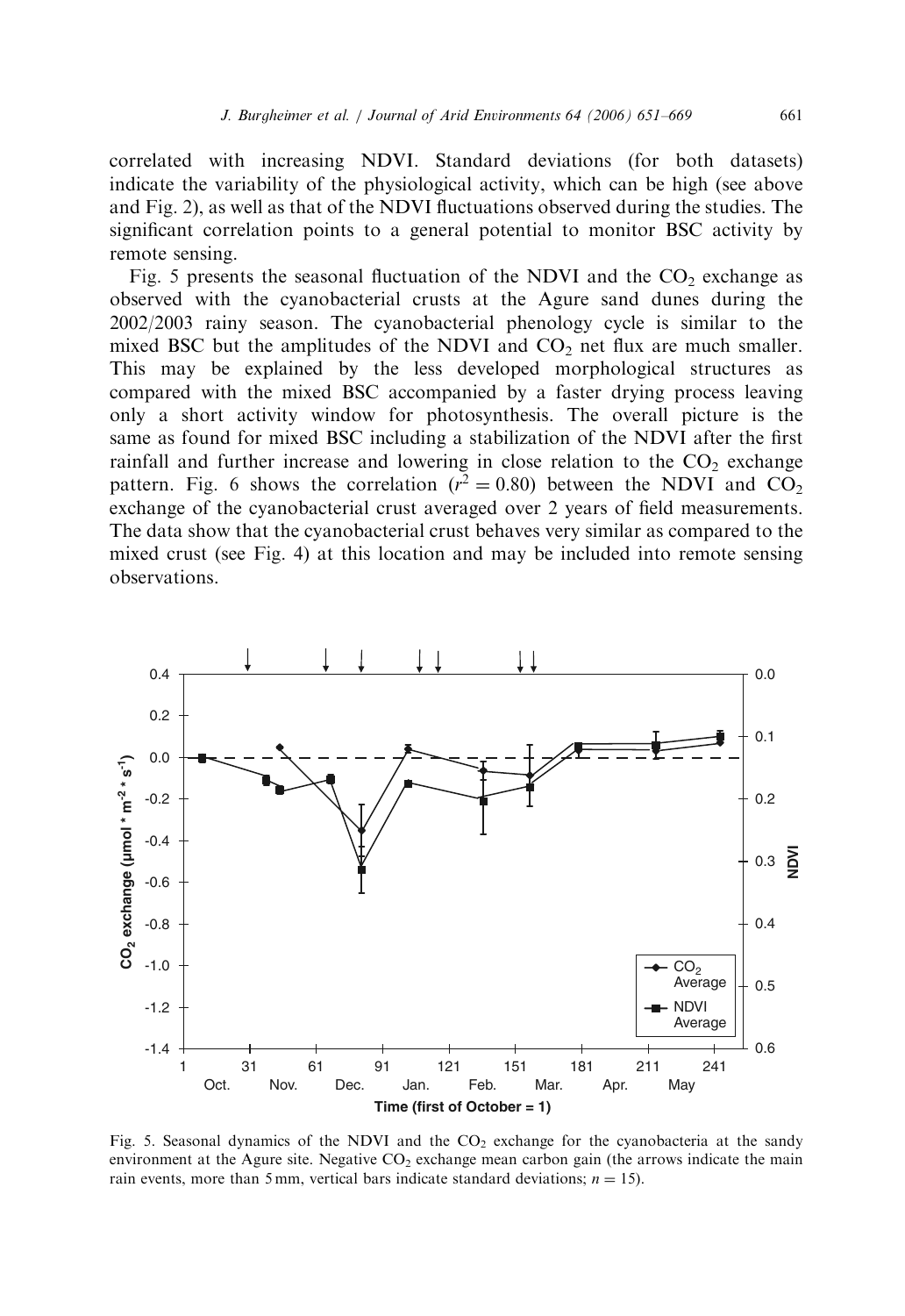correlated with increasing NDVI. Standard deviations (for both datasets) indicate the variability of the physiological activity, which can be high (see above and Fig. 2), as well as that of the NDVI fluctuations observed during the studies. The significant correlation points to a general potential to monitor BSC activity by remote sensing.

Fig. 5 presents the seasonal fluctuation of the NDVI and the  $CO<sub>2</sub>$  exchange as observed with the cyanobacterial crusts at the Agure sand dunes during the 2002/2003 rainy season. The cyanobacterial phenology cycle is similar to the mixed BSC but the amplitudes of the NDVI and  $CO<sub>2</sub>$  net flux are much smaller. This may be explained by the less developed morphological structures as compared with the mixed BSC accompanied by a faster drying process leaving only a short activity window for photosynthesis. The overall picture is the same as found for mixed BSC including a stabilization of the NDVI after the first rainfall and further increase and lowering in close relation to the  $CO<sub>2</sub>$  exchange pattern. Fig. 6 shows the correlation  $(r^2 = 0.80)$  between the NDVI and CO<sub>2</sub> exchange of the cyanobacterial crust averaged over 2 years of field measurements. The data show that the cyanobacterial crust behaves very similar as compared to the mixed crust (see Fig. 4) at this location and may be included into remote sensing observations.



Fig. 5. Seasonal dynamics of the NDVI and the  $CO<sub>2</sub>$  exchange for the cyanobacteria at the sandy environment at the Agure site. Negative  $CO<sub>2</sub>$  exchange mean carbon gain (the arrows indicate the main rain events, more than 5 mm, vertical bars indicate standard deviations;  $n = 15$ ).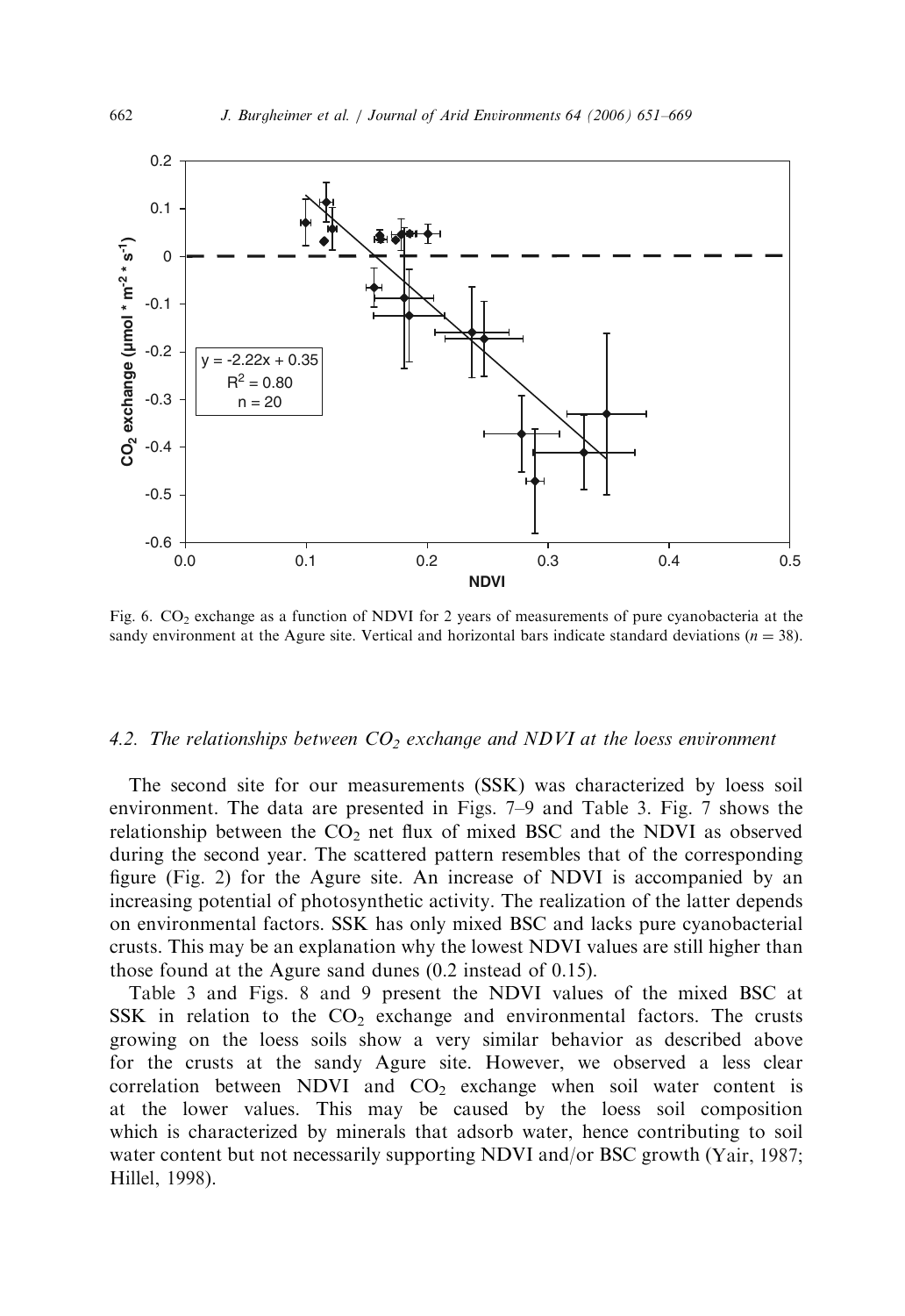

Fig. 6.  $CO<sub>2</sub>$  exchange as a function of NDVI for 2 years of measurements of pure cyanobacteria at the sandy environment at the Agure site. Vertical and horizontal bars indicate standard deviations  $(n = 38)$ .

## *4.2. The relationships between CO<sup>2</sup> exchange and NDVI at the loess environment*

The second site for our measurements (SSK) was characterized by loess soil environment. The data are presented in Figs. 7–9 and Table 3. Fig. 7 shows the relationship between the  $CO<sub>2</sub>$  net flux of mixed BSC and the NDVI as observed during the second year. The scattered pattern resembles that of the corresponding figure (Fig. 2) for the Agure site. An increase of NDVI is accompanied by an increasing potential of photosynthetic activity. The realization of the latter depends on environmental factors. SSK has only mixed BSC and lacks pure cyanobacterial crusts. This may be an explanation why the lowest NDVI values are still higher than those found at the Agure sand dunes (0.2 instead of 0.15).

Table 3 and Figs. 8 and 9 present the NDVI values of the mixed BSC at SSK in relation to the  $CO<sub>2</sub>$  exchange and environmental factors. The crusts growing on the loess soils show a very similar behavior as described above for the crusts at the sandy Agure site. However, we observed a less clear correlation between NDVI and  $CO<sub>2</sub>$  exchange when soil water content is at the lower values. This may be caused by the loess soil composition which is characterized by minerals that adsorb water, hence contributing to soil water content but not necessarily supporting NDVI and/or BSC growth (Yair, 1987; Hillel, 1998).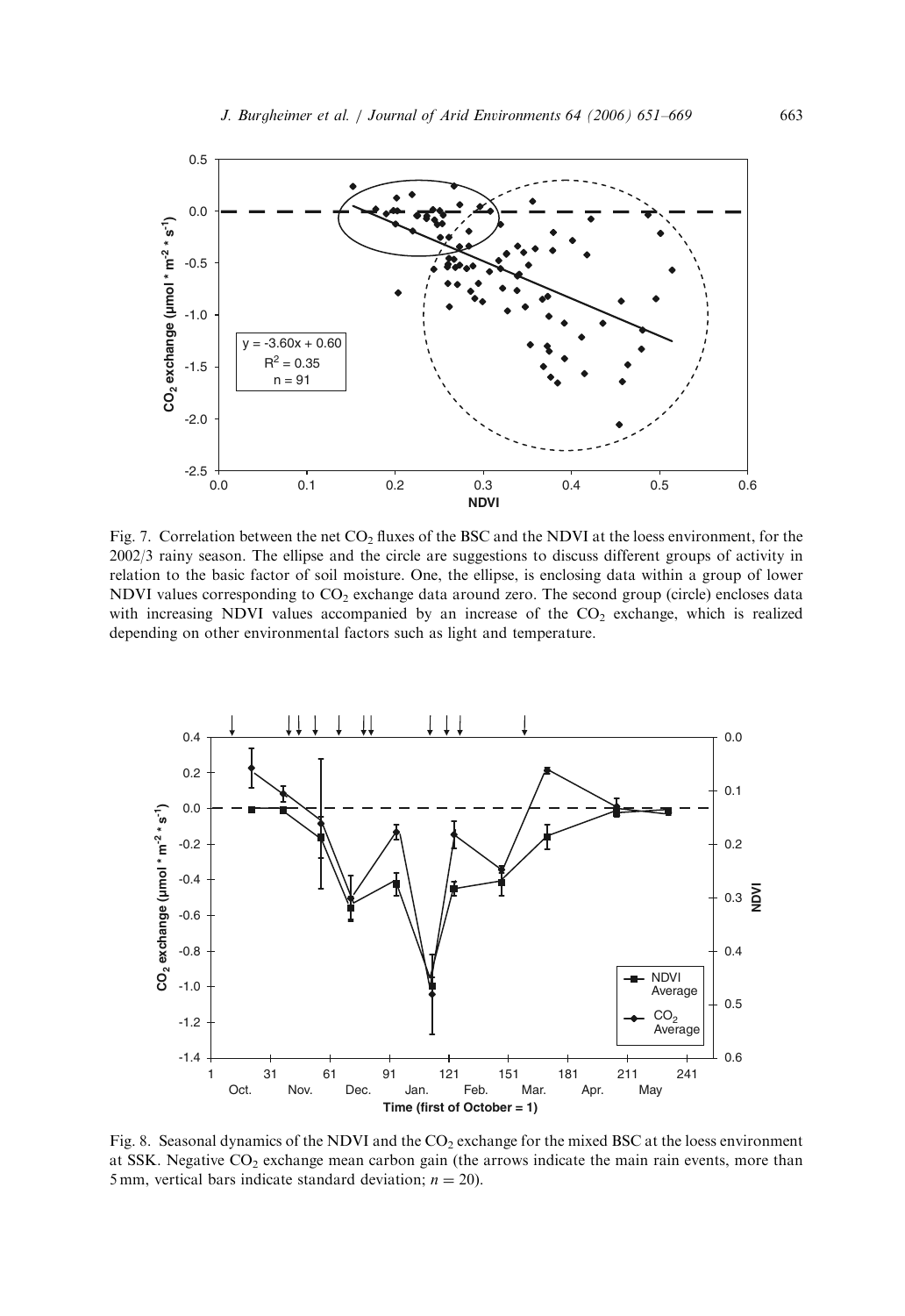

Fig. 7. Correlation between the net  $CO<sub>2</sub>$  fluxes of the BSC and the NDVI at the loess environment, for the 2002/3 rainy season. The ellipse and the circle are suggestions to discuss different groups of activity in relation to the basic factor of soil moisture. One, the ellipse, is enclosing data within a group of lower NDVI values corresponding to CO<sub>2</sub> exchange data around zero. The second group (circle) encloses data with increasing NDVI values accompanied by an increase of the  $CO<sub>2</sub>$  exchange, which is realized depending on other environmental factors such as light and temperature.



Fig. 8. Seasonal dynamics of the NDVI and the CO<sub>2</sub> exchange for the mixed BSC at the loess environment at SSK. Negative  $CO<sub>2</sub>$  exchange mean carbon gain (the arrows indicate the main rain events, more than 5 mm, vertical bars indicate standard deviation;  $n = 20$ ).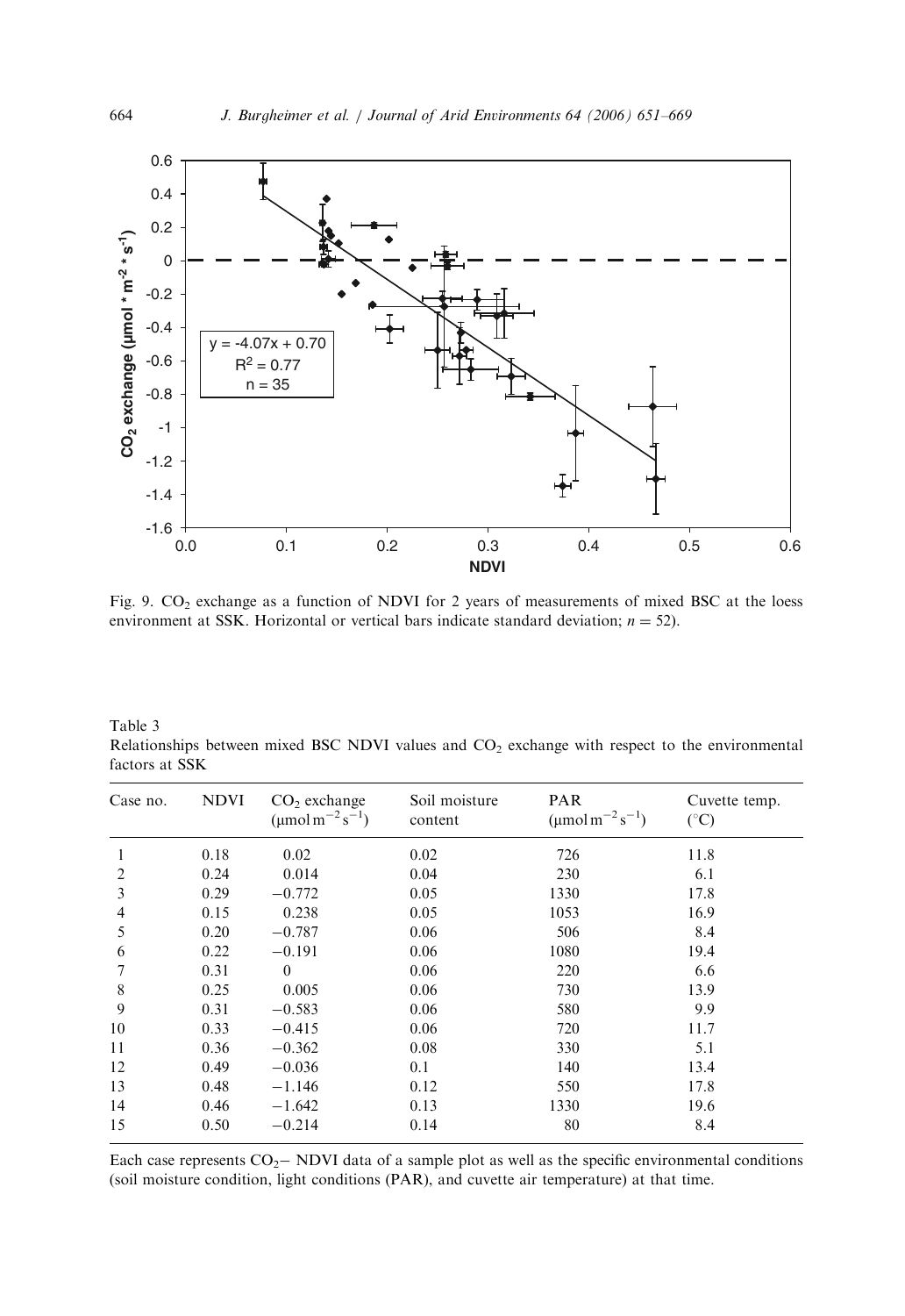

Fig. 9.  $CO_2$  exchange as a function of NDVI for 2 years of measurements of mixed BSC at the loess environment at SSK. Horizontal or vertical bars indicate standard deviation;  $n = 52$ ).

Table 3 Relationships between mixed BSC NDVI values and CO<sub>2</sub> exchange with respect to the environmental factors at SSK

| Case no.       | <b>NDVI</b> | $CO2$ exchange<br>$(\mu \text{mol m}^{-2} \text{s}^{-1})$ | Soil moisture<br>content | <b>PAR</b><br>$(\mu \text{mol m}^{-2} \text{ s}^{-1})$ | Cuvette temp.<br>$(^\circ C)$ |
|----------------|-------------|-----------------------------------------------------------|--------------------------|--------------------------------------------------------|-------------------------------|
| 1              | 0.18        | 0.02                                                      | 0.02                     | 726                                                    | 11.8                          |
| $\overline{c}$ | 0.24        | 0.014                                                     | 0.04                     | 230                                                    | 6.1                           |
| 3              | 0.29        | $-0.772$                                                  | 0.05                     | 1330                                                   | 17.8                          |
| 4              | 0.15        | 0.238                                                     | 0.05                     | 1053                                                   | 16.9                          |
| 5              | 0.20        | $-0.787$                                                  | 0.06                     | 506                                                    | 8.4                           |
| 6              | 0.22        | $-0.191$                                                  | 0.06                     | 1080                                                   | 19.4                          |
|                | 0.31        | $\theta$                                                  | 0.06                     | 220                                                    | 6.6                           |
| 8              | 0.25        | 0.005                                                     | 0.06                     | 730                                                    | 13.9                          |
| 9              | 0.31        | $-0.583$                                                  | 0.06                     | 580                                                    | 9.9                           |
| 10             | 0.33        | $-0.415$                                                  | 0.06                     | 720                                                    | 11.7                          |
| 11             | 0.36        | $-0.362$                                                  | 0.08                     | 330                                                    | 5.1                           |
| 12             | 0.49        | $-0.036$                                                  | 0.1                      | 140                                                    | 13.4                          |
| 13             | 0.48        | $-1.146$                                                  | 0.12                     | 550                                                    | 17.8                          |
| 14             | 0.46        | $-1.642$                                                  | 0.13                     | 1330                                                   | 19.6                          |
| 15             | 0.50        | $-0.214$                                                  | 0.14                     | 80                                                     | 8.4                           |

Each case represents  $CO<sub>2</sub>$  NDVI data of a sample plot as well as the specific environmental conditions (soil moisture condition, light conditions (PAR), and cuvette air temperature) at that time.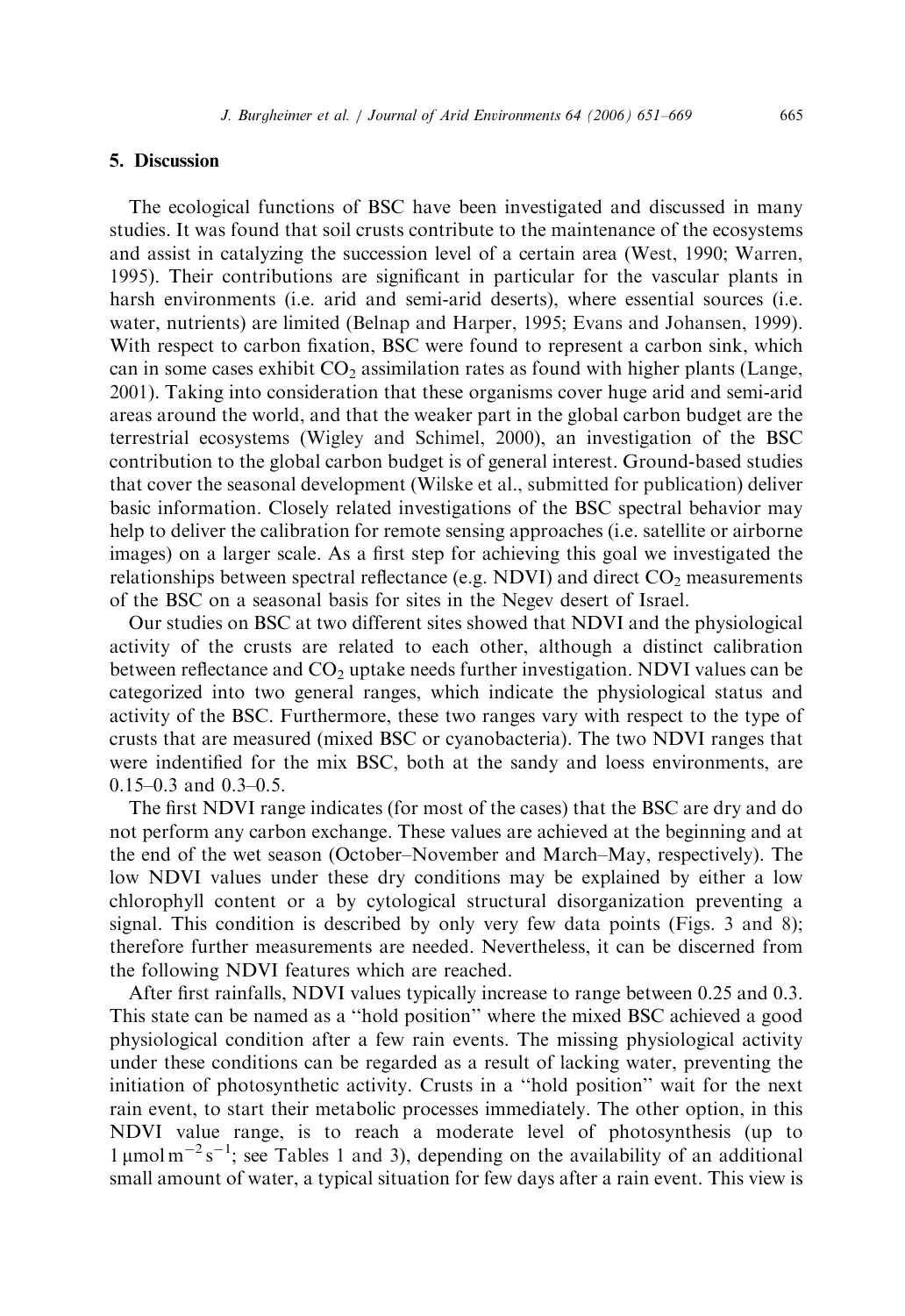#### 5. Discussion

The ecological functions of BSC have been investigated and discussed in many studies. It was found that soil crusts contribute to the maintenance of the ecosystems and assist in catalyzing the succession level of a certain area (West, 1990; Warren, 1995). Their contributions are significant in particular for the vascular plants in harsh environments (i.e. arid and semi-arid deserts), where essential sources (i.e. water, nutrients) are limited (Belnap and Harper, 1995; Evans and Johansen, 1999). With respect to carbon fixation, BSC were found to represent a carbon sink, which can in some cases exhibit  $CO<sub>2</sub>$  assimilation rates as found with higher plants (Lange, 2001). Taking into consideration that these organisms cover huge arid and semi-arid areas around the world, and that the weaker part in the global carbon budget are the terrestrial ecosystems (Wigley and Schimel, 2000), an investigation of the BSC contribution to the global carbon budget is of general interest. Ground-based studies that cover the seasonal development (Wilske et al., submitted for publication) deliver basic information. Closely related investigations of the BSC spectral behavior may help to deliver the calibration for remote sensing approaches (i.e. satellite or airborne images) on a larger scale. As a first step for achieving this goal we investigated the relationships between spectral reflectance (e.g. NDVI) and direct  $CO<sub>2</sub>$  measurements of the BSC on a seasonal basis for sites in the Negev desert of Israel.

Our studies on BSC at two different sites showed that NDVI and the physiological activity of the crusts are related to each other, although a distinct calibration between reflectance and  $CO<sub>2</sub>$  uptake needs further investigation. NDVI values can be categorized into two general ranges, which indicate the physiological status and activity of the BSC. Furthermore, these two ranges vary with respect to the type of crusts that are measured (mixed BSC or cyanobacteria). The two NDVI ranges that were indentified for the mix BSC, both at the sandy and loess environments, are 0.15–0.3 and 0.3–0.5.

The first NDVI range indicates (for most of the cases) that the BSC are dry and do not perform any carbon exchange. These values are achieved at the beginning and at the end of the wet season (October–November and March–May, respectively). The low NDVI values under these dry conditions may be explained by either a low chlorophyll content or a by cytological structural disorganization preventing a signal. This condition is described by only very few data points (Figs. 3 and 8); therefore further measurements are needed. Nevertheless, it can be discerned from the following NDVI features which are reached.

After first rainfalls, NDVI values typically increase to range between 0.25 and 0.3. This state can be named as a ''hold position'' where the mixed BSC achieved a good physiological condition after a few rain events. The missing physiological activity under these conditions can be regarded as a result of lacking water, preventing the initiation of photosynthetic activity. Crusts in a ''hold position'' wait for the next rain event, to start their metabolic processes immediately. The other option, in this NDVI value range, is to reach a moderate level of photosynthesis (up to  $1 \mu$ mol m<sup>-2</sup>s<sup>-1</sup>; see Tables 1 and 3), depending on the availability of an additional small amount of water, a typical situation for few days after a rain event. This view is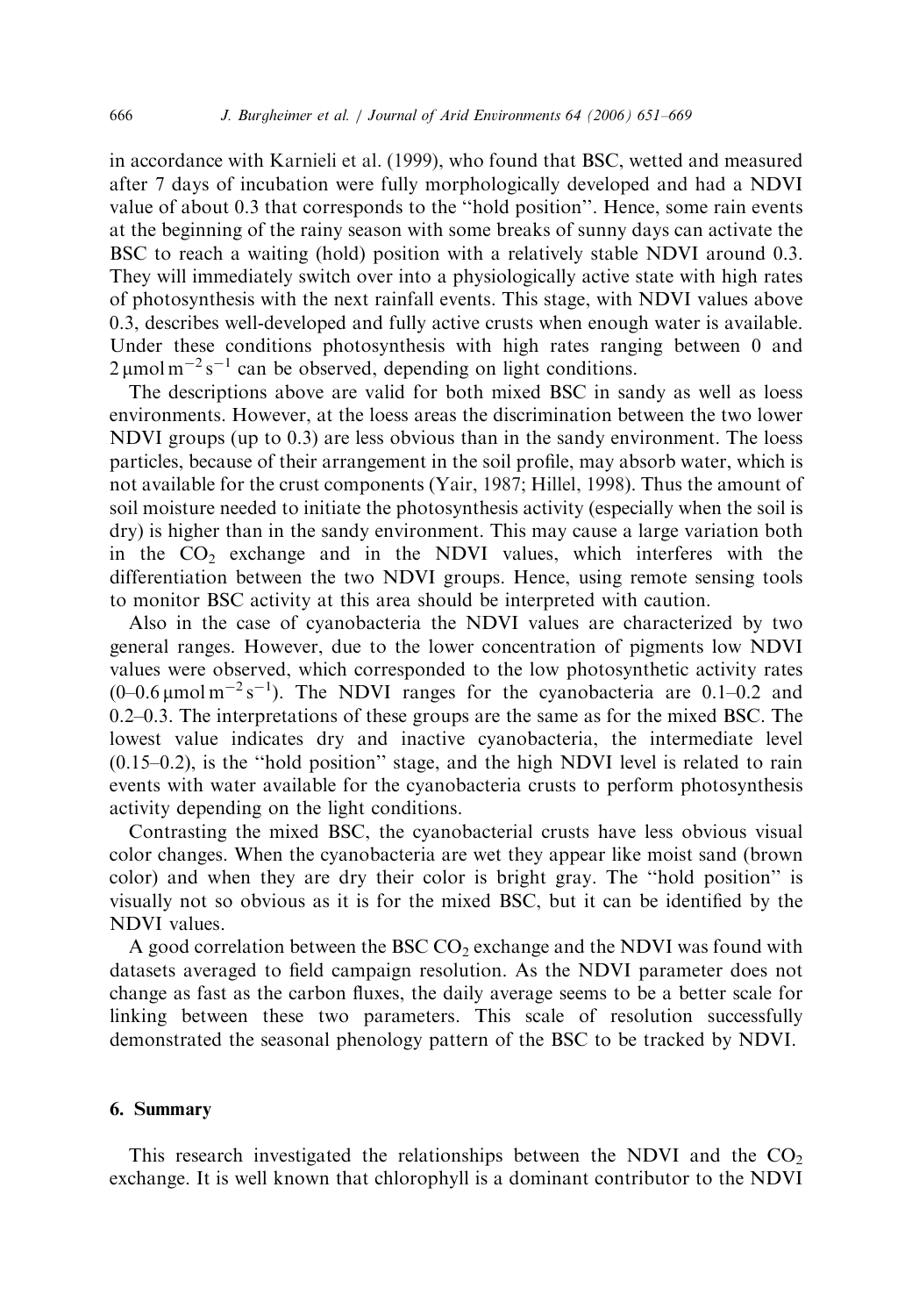in accordance with Karnieli et al. (1999), who found that BSC, wetted and measured after 7 days of incubation were fully morphologically developed and had a NDVI value of about 0.3 that corresponds to the ''hold position''. Hence, some rain events at the beginning of the rainy season with some breaks of sunny days can activate the BSC to reach a waiting (hold) position with a relatively stable NDVI around 0.3. They will immediately switch over into a physiologically active state with high rates of photosynthesis with the next rainfall events. This stage, with NDVI values above 0.3, describes well-developed and fully active crusts when enough water is available. Under these conditions photosynthesis with high rates ranging between 0 and  $2 \mu$ mol m<sup>-2</sup>s<sup>-1</sup> can be observed, depending on light conditions.

The descriptions above are valid for both mixed BSC in sandy as well as loess environments. However, at the loess areas the discrimination between the two lower NDVI groups (up to 0.3) are less obvious than in the sandy environment. The loess particles, because of their arrangement in the soil profile, may absorb water, which is not available for the crust components (Yair, 1987; Hillel, 1998). Thus the amount of soil moisture needed to initiate the photosynthesis activity (especially when the soil is dry) is higher than in the sandy environment. This may cause a large variation both in the  $CO<sub>2</sub>$  exchange and in the NDVI values, which interferes with the differentiation between the two NDVI groups. Hence, using remote sensing tools to monitor BSC activity at this area should be interpreted with caution.

Also in the case of cyanobacteria the NDVI values are characterized by two general ranges. However, due to the lower concentration of pigments low NDVI values were observed, which corresponded to the low photosynthetic activity rates  $(0-0.6 \,\mu\text{mol m}^{-2}\text{ s}^{-1})$ . The NDVI ranges for the cyanobacteria are 0.1-0.2 and 0.2–0.3. The interpretations of these groups are the same as for the mixed BSC. The lowest value indicates dry and inactive cyanobacteria, the intermediate level  $(0.15-0.2)$ , is the "hold position" stage, and the high NDVI level is related to rain events with water available for the cyanobacteria crusts to perform photosynthesis activity depending on the light conditions.

Contrasting the mixed BSC, the cyanobacterial crusts have less obvious visual color changes. When the cyanobacteria are wet they appear like moist sand (brown color) and when they are dry their color is bright gray. The ''hold position'' is visually not so obvious as it is for the mixed BSC, but it can be identified by the NDVI values.

A good correlation between the BSC  $CO<sub>2</sub>$  exchange and the NDVI was found with datasets averaged to field campaign resolution. As the NDVI parameter does not change as fast as the carbon fluxes, the daily average seems to be a better scale for linking between these two parameters. This scale of resolution successfully demonstrated the seasonal phenology pattern of the BSC to be tracked by NDVI.

## 6. Summary

This research investigated the relationships between the NDVI and the  $CO<sub>2</sub>$ exchange. It is well known that chlorophyll is a dominant contributor to the NDVI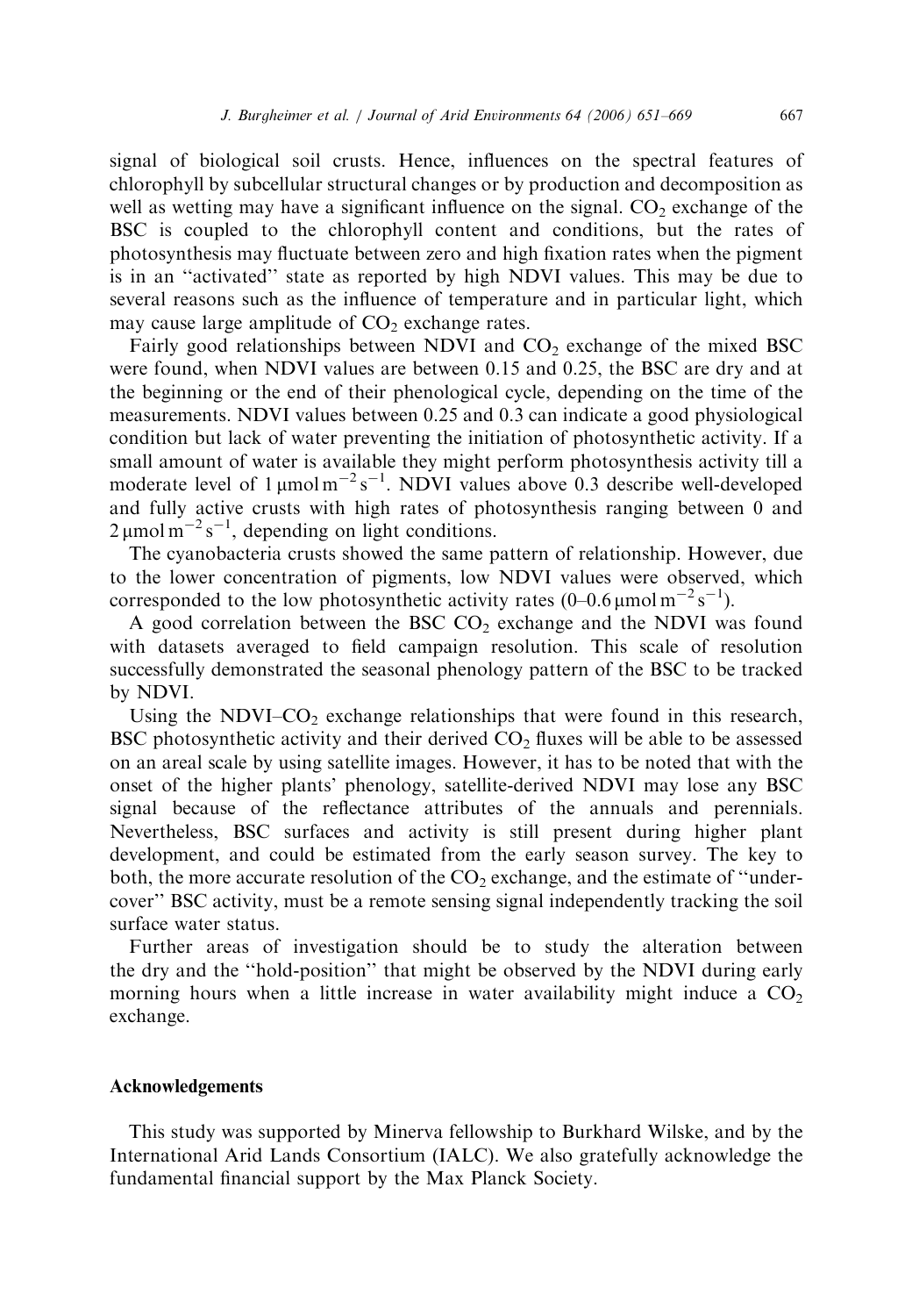signal of biological soil crusts. Hence, influences on the spectral features of chlorophyll by subcellular structural changes or by production and decomposition as well as wetting may have a significant influence on the signal.  $CO<sub>2</sub>$  exchange of the BSC is coupled to the chlorophyll content and conditions, but the rates of photosynthesis may fluctuate between zero and high fixation rates when the pigment is in an ''activated'' state as reported by high NDVI values. This may be due to several reasons such as the influence of temperature and in particular light, which may cause large amplitude of  $CO<sub>2</sub>$  exchange rates.

Fairly good relationships between NDVI and  $CO<sub>2</sub>$  exchange of the mixed BSC were found, when NDVI values are between 0.15 and 0.25, the BSC are dry and at the beginning or the end of their phenological cycle, depending on the time of the measurements. NDVI values between 0.25 and 0.3 can indicate a good physiological condition but lack of water preventing the initiation of photosynthetic activity. If a small amount of water is available they might perform photosynthesis activity till a moderate level of  $1 \mu$ mol m<sup>-2</sup>s<sup>-1</sup>. NDVI values above 0.3 describe well-developed and fully active crusts with high rates of photosynthesis ranging between 0 and  $2 \mu$ mol m<sup>-2</sup>s<sup>-1</sup>, depending on light conditions.

The cyanobacteria crusts showed the same pattern of relationship. However, due to the lower concentration of pigments, low NDVI values were observed, which corresponded to the low photosynthetic activity rates  $(0-0.6 \,\mu\text{mol m}^{-2} \text{ s}^{-1})$ .

A good correlation between the BSC  $CO<sub>2</sub>$  exchange and the NDVI was found with datasets averaged to field campaign resolution. This scale of resolution successfully demonstrated the seasonal phenology pattern of the BSC to be tracked by NDVI.

Using the NDVI– $CO<sub>2</sub>$  exchange relationships that were found in this research, BSC photosynthetic activity and their derived  $CO<sub>2</sub>$  fluxes will be able to be assessed on an areal scale by using satellite images. However, it has to be noted that with the onset of the higher plants' phenology, satellite-derived NDVI may lose any BSC signal because of the reflectance attributes of the annuals and perennials. Nevertheless, BSC surfaces and activity is still present during higher plant development, and could be estimated from the early season survey. The key to both, the more accurate resolution of the  $CO<sub>2</sub>$  exchange, and the estimate of "undercover'' BSC activity, must be a remote sensing signal independently tracking the soil surface water status.

Further areas of investigation should be to study the alteration between the dry and the ''hold-position'' that might be observed by the NDVI during early morning hours when a little increase in water availability might induce a  $CO<sub>2</sub>$ exchange.

#### Acknowledgements

This study was supported by Minerva fellowship to Burkhard Wilske, and by the International Arid Lands Consortium (IALC). We also gratefully acknowledge the fundamental financial support by the Max Planck Society.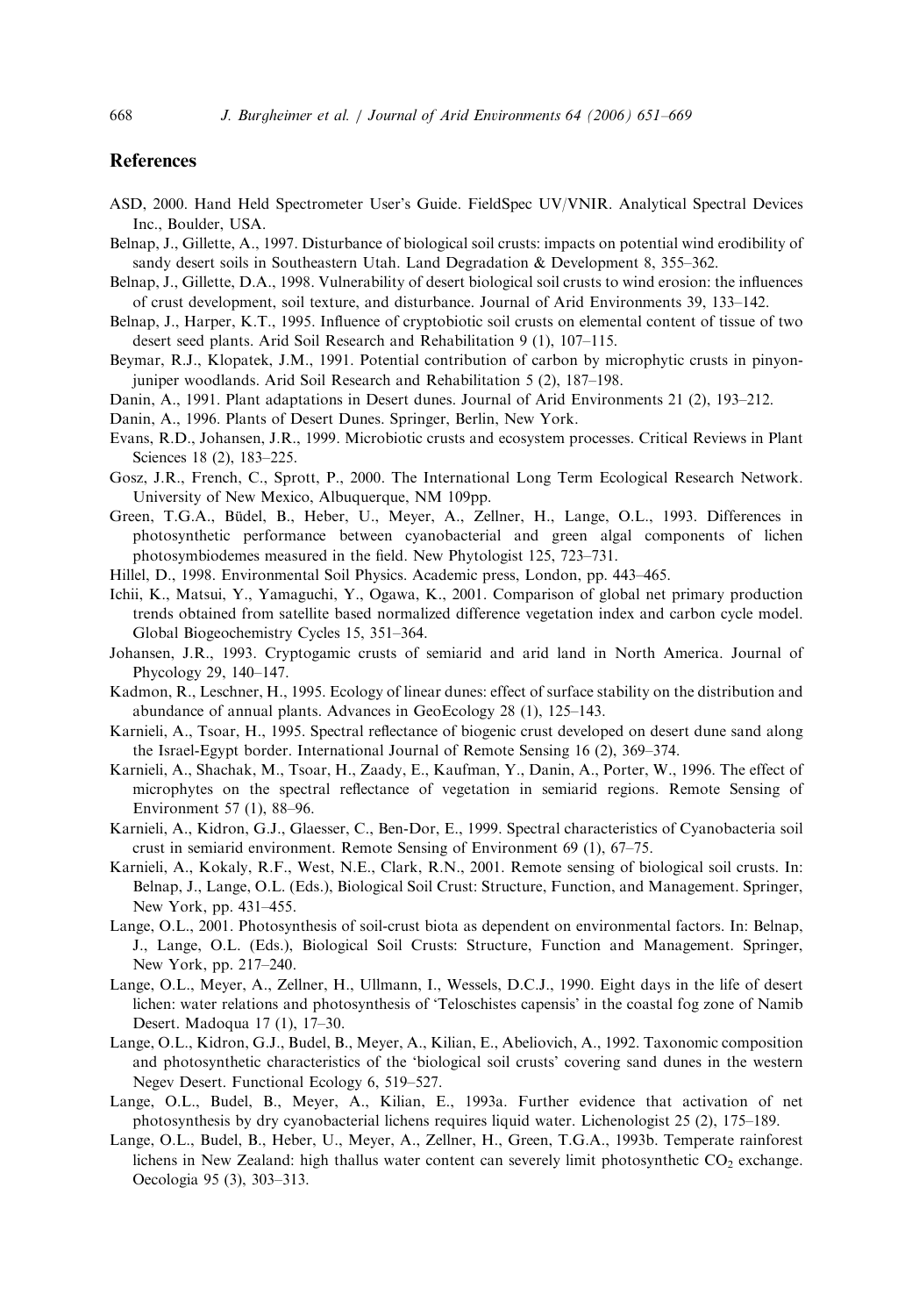# References

- ASD, 2000. Hand Held Spectrometer User's Guide. FieldSpec UV/VNIR. Analytical Spectral Devices Inc., Boulder, USA.
- Belnap, J., Gillette, A., 1997. Disturbance of biological soil crusts: impacts on potential wind erodibility of sandy desert soils in Southeastern Utah. Land Degradation & Development 8, 355–362.
- Belnap, J., Gillette, D.A., 1998. Vulnerability of desert biological soil crusts to wind erosion: the influences of crust development, soil texture, and disturbance. Journal of Arid Environments 39, 133–142.
- Belnap, J., Harper, K.T., 1995. Influence of cryptobiotic soil crusts on elemental content of tissue of two desert seed plants. Arid Soil Research and Rehabilitation 9 (1), 107–115.
- Beymar, R.J., Klopatek, J.M., 1991. Potential contribution of carbon by microphytic crusts in pinyonjuniper woodlands. Arid Soil Research and Rehabilitation 5 (2), 187–198.
- Danin, A., 1991. Plant adaptations in Desert dunes. Journal of Arid Environments 21 (2), 193–212.
- Danin, A., 1996. Plants of Desert Dunes. Springer, Berlin, New York.
- Evans, R.D., Johansen, J.R., 1999. Microbiotic crusts and ecosystem processes. Critical Reviews in Plant Sciences 18 (2), 183–225.
- Gosz, J.R., French, C., Sprott, P., 2000. The International Long Term Ecological Research Network. University of New Mexico, Albuquerque, NM 109pp.
- Green, T.G.A., Büdel, B., Heber, U., Meyer, A., Zellner, H., Lange, O.L., 1993. Differences in photosynthetic performance between cyanobacterial and green algal components of lichen photosymbiodemes measured in the field. New Phytologist 125, 723–731.
- Hillel, D., 1998. Environmental Soil Physics. Academic press, London, pp. 443–465.
- Ichii, K., Matsui, Y., Yamaguchi, Y., Ogawa, K., 2001. Comparison of global net primary production trends obtained from satellite based normalized difference vegetation index and carbon cycle model. Global Biogeochemistry Cycles 15, 351–364.
- Johansen, J.R., 1993. Cryptogamic crusts of semiarid and arid land in North America. Journal of Phycology 29, 140–147.
- Kadmon, R., Leschner, H., 1995. Ecology of linear dunes: effect of surface stability on the distribution and abundance of annual plants. Advances in GeoEcology 28 (1), 125–143.
- Karnieli, A., Tsoar, H., 1995. Spectral reflectance of biogenic crust developed on desert dune sand along the Israel-Egypt border. International Journal of Remote Sensing 16 (2), 369–374.
- Karnieli, A., Shachak, M., Tsoar, H., Zaady, E., Kaufman, Y., Danin, A., Porter, W., 1996. The effect of microphytes on the spectral reflectance of vegetation in semiarid regions. Remote Sensing of Environment 57 (1), 88–96.
- Karnieli, A., Kidron, G.J., Glaesser, C., Ben-Dor, E., 1999. Spectral characteristics of Cyanobacteria soil crust in semiarid environment. Remote Sensing of Environment 69 (1), 67–75.
- Karnieli, A., Kokaly, R.F., West, N.E., Clark, R.N., 2001. Remote sensing of biological soil crusts. In: Belnap, J., Lange, O.L. (Eds.), Biological Soil Crust: Structure, Function, and Management. Springer, New York, pp. 431–455.
- Lange, O.L., 2001. Photosynthesis of soil-crust biota as dependent on environmental factors. In: Belnap, J., Lange, O.L. (Eds.), Biological Soil Crusts: Structure, Function and Management. Springer, New York, pp. 217–240.
- Lange, O.L., Meyer, A., Zellner, H., Ullmann, I., Wessels, D.C.J., 1990. Eight days in the life of desert lichen: water relations and photosynthesis of 'Teloschistes capensis' in the coastal fog zone of Namib Desert. Madoqua 17 (1), 17–30.
- Lange, O.L., Kidron, G.J., Budel, B., Meyer, A., Kilian, E., Abeliovich, A., 1992. Taxonomic composition and photosynthetic characteristics of the 'biological soil crusts' covering sand dunes in the western Negev Desert. Functional Ecology 6, 519–527.
- Lange, O.L., Budel, B., Meyer, A., Kilian, E., 1993a. Further evidence that activation of net photosynthesis by dry cyanobacterial lichens requires liquid water. Lichenologist 25 (2), 175–189.
- Lange, O.L., Budel, B., Heber, U., Meyer, A., Zellner, H., Green, T.G.A., 1993b. Temperate rainforest lichens in New Zealand: high thallus water content can severely limit photosynthetic  $CO<sub>2</sub>$  exchange. Oecologia 95 (3), 303–313.